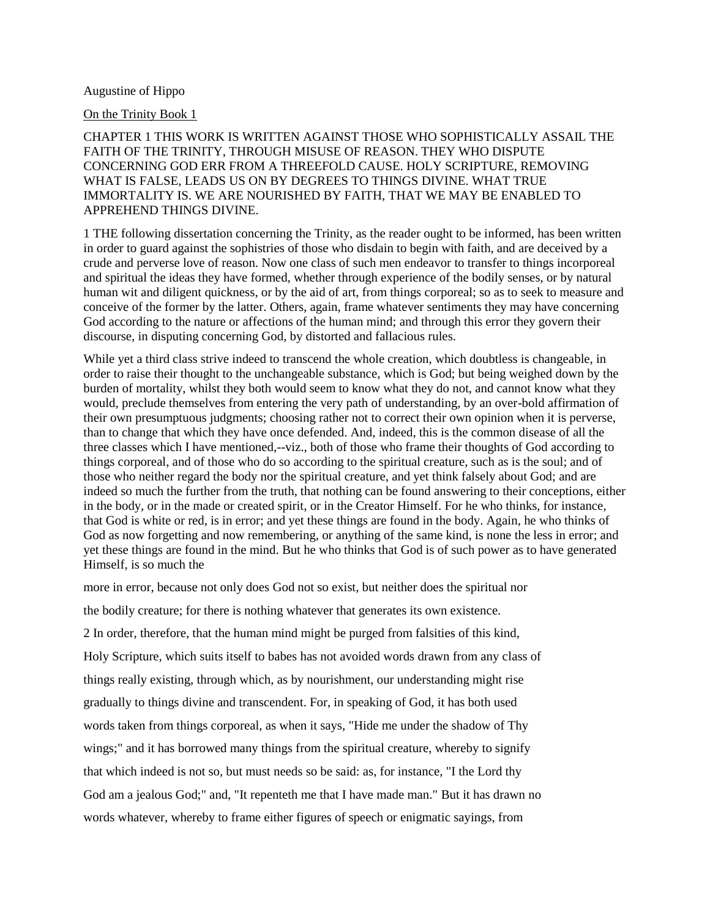#### Augustine of Hippo

#### On the Trinity Book 1

CHAPTER 1 THIS WORK IS WRITTEN AGAINST THOSE WHO SOPHISTICALLY ASSAIL THE FAITH OF THE TRINITY, THROUGH MISUSE OF REASON. THEY WHO DISPUTE CONCERNING GOD ERR FROM A THREEFOLD CAUSE. HOLY SCRIPTURE, REMOVING WHAT IS FALSE, LEADS US ON BY DEGREES TO THINGS DIVINE. WHAT TRUE IMMORTALITY IS. WE ARE NOURISHED BY FAITH, THAT WE MAY BE ENABLED TO APPREHEND THINGS DIVINE.

1 THE following dissertation concerning the Trinity, as the reader ought to be informed, has been written in order to guard against the sophistries of those who disdain to begin with faith, and are deceived by a crude and perverse love of reason. Now one class of such men endeavor to transfer to things incorporeal and spiritual the ideas they have formed, whether through experience of the bodily senses, or by natural human wit and diligent quickness, or by the aid of art, from things corporeal; so as to seek to measure and conceive of the former by the latter. Others, again, frame whatever sentiments they may have concerning God according to the nature or affections of the human mind; and through this error they govern their discourse, in disputing concerning God, by distorted and fallacious rules.

While yet a third class strive indeed to transcend the whole creation, which doubtless is changeable, in order to raise their thought to the unchangeable substance, which is God; but being weighed down by the burden of mortality, whilst they both would seem to know what they do not, and cannot know what they would, preclude themselves from entering the very path of understanding, by an over-bold affirmation of their own presumptuous judgments; choosing rather not to correct their own opinion when it is perverse, than to change that which they have once defended. And, indeed, this is the common disease of all the three classes which I have mentioned,--viz., both of those who frame their thoughts of God according to things corporeal, and of those who do so according to the spiritual creature, such as is the soul; and of those who neither regard the body nor the spiritual creature, and yet think falsely about God; and are indeed so much the further from the truth, that nothing can be found answering to their conceptions, either in the body, or in the made or created spirit, or in the Creator Himself. For he who thinks, for instance, that God is white or red, is in error; and yet these things are found in the body. Again, he who thinks of God as now forgetting and now remembering, or anything of the same kind, is none the less in error; and yet these things are found in the mind. But he who thinks that God is of such power as to have generated Himself, is so much the

more in error, because not only does God not so exist, but neither does the spiritual nor

the bodily creature; for there is nothing whatever that generates its own existence.

2 In order, therefore, that the human mind might be purged from falsities of this kind,

Holy Scripture, which suits itself to babes has not avoided words drawn from any class of

things really existing, through which, as by nourishment, our understanding might rise

gradually to things divine and transcendent. For, in speaking of God, it has both used

words taken from things corporeal, as when it says, "Hide me under the shadow of Thy

wings;" and it has borrowed many things from the spiritual creature, whereby to signify

that which indeed is not so, but must needs so be said: as, for instance, "I the Lord thy

God am a jealous God;" and, "It repenteth me that I have made man." But it has drawn no

words whatever, whereby to frame either figures of speech or enigmatic sayings, from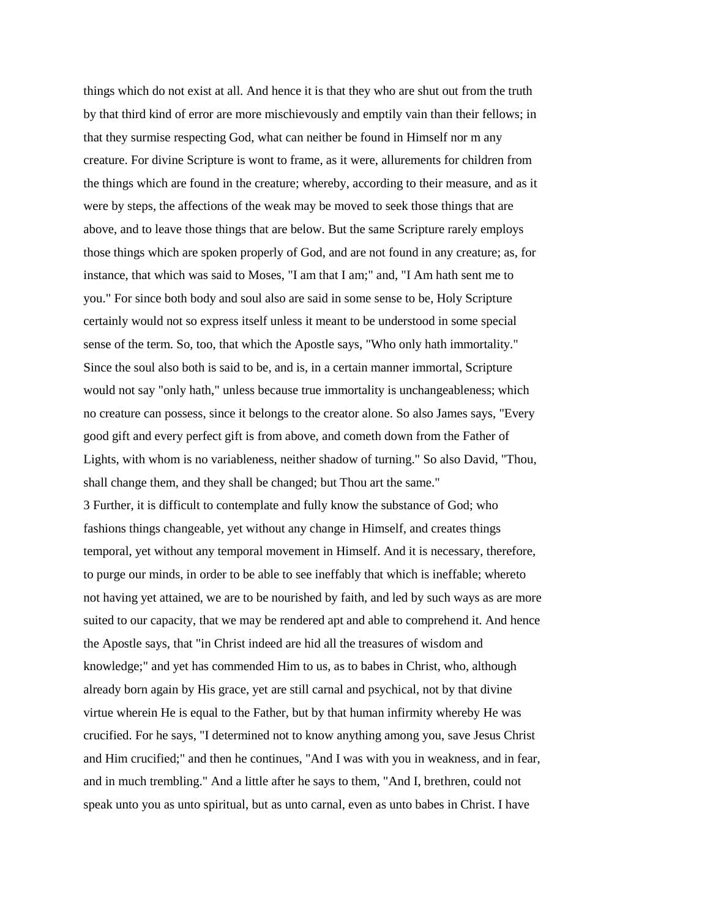things which do not exist at all. And hence it is that they who are shut out from the truth by that third kind of error are more mischievously and emptily vain than their fellows; in that they surmise respecting God, what can neither be found in Himself nor m any creature. For divine Scripture is wont to frame, as it were, allurements for children from the things which are found in the creature; whereby, according to their measure, and as it were by steps, the affections of the weak may be moved to seek those things that are above, and to leave those things that are below. But the same Scripture rarely employs those things which are spoken properly of God, and are not found in any creature; as, for instance, that which was said to Moses, "I am that I am;" and, "I Am hath sent me to you." For since both body and soul also are said in some sense to be, Holy Scripture certainly would not so express itself unless it meant to be understood in some special sense of the term. So, too, that which the Apostle says, "Who only hath immortality." Since the soul also both is said to be, and is, in a certain manner immortal, Scripture would not say "only hath," unless because true immortality is unchangeableness; which no creature can possess, since it belongs to the creator alone. So also James says, "Every good gift and every perfect gift is from above, and cometh down from the Father of Lights, with whom is no variableness, neither shadow of turning." So also David, "Thou, shall change them, and they shall be changed; but Thou art the same." 3 Further, it is difficult to contemplate and fully know the substance of God; who fashions things changeable, yet without any change in Himself, and creates things temporal, yet without any temporal movement in Himself. And it is necessary, therefore, to purge our minds, in order to be able to see ineffably that which is ineffable; whereto not having yet attained, we are to be nourished by faith, and led by such ways as are more suited to our capacity, that we may be rendered apt and able to comprehend it. And hence the Apostle says, that "in Christ indeed are hid all the treasures of wisdom and knowledge;" and yet has commended Him to us, as to babes in Christ, who, although already born again by His grace, yet are still carnal and psychical, not by that divine virtue wherein He is equal to the Father, but by that human infirmity whereby He was crucified. For he says, "I determined not to know anything among you, save Jesus Christ and Him crucified;" and then he continues, "And I was with you in weakness, and in fear, and in much trembling." And a little after he says to them, "And I, brethren, could not speak unto you as unto spiritual, but as unto carnal, even as unto babes in Christ. I have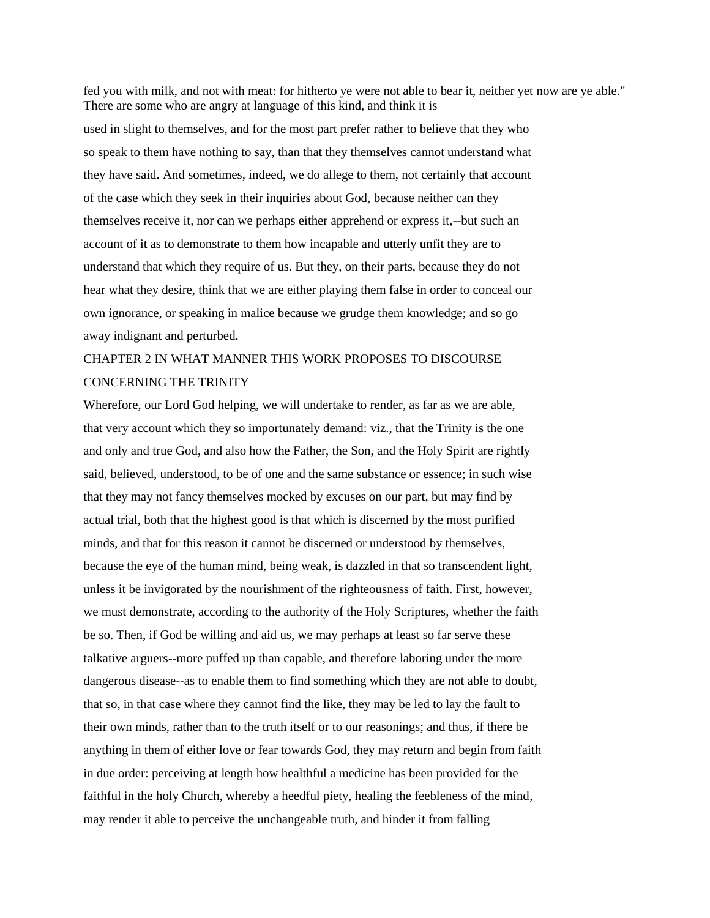fed you with milk, and not with meat: for hitherto ye were not able to bear it, neither yet now are ye able." There are some who are angry at language of this kind, and think it is used in slight to themselves, and for the most part prefer rather to believe that they who so speak to them have nothing to say, than that they themselves cannot understand what they have said. And sometimes, indeed, we do allege to them, not certainly that account of the case which they seek in their inquiries about God, because neither can they themselves receive it, nor can we perhaps either apprehend or express it,--but such an account of it as to demonstrate to them how incapable and utterly unfit they are to understand that which they require of us. But they, on their parts, because they do not hear what they desire, think that we are either playing them false in order to conceal our own ignorance, or speaking in malice because we grudge them knowledge; and so go away indignant and perturbed.

## CHAPTER 2 IN WHAT MANNER THIS WORK PROPOSES TO DISCOURSE CONCERNING THE TRINITY

Wherefore, our Lord God helping, we will undertake to render, as far as we are able, that very account which they so importunately demand: viz., that the Trinity is the one and only and true God, and also how the Father, the Son, and the Holy Spirit are rightly said, believed, understood, to be of one and the same substance or essence; in such wise that they may not fancy themselves mocked by excuses on our part, but may find by actual trial, both that the highest good is that which is discerned by the most purified minds, and that for this reason it cannot be discerned or understood by themselves, because the eye of the human mind, being weak, is dazzled in that so transcendent light, unless it be invigorated by the nourishment of the righteousness of faith. First, however, we must demonstrate, according to the authority of the Holy Scriptures, whether the faith be so. Then, if God be willing and aid us, we may perhaps at least so far serve these talkative arguers--more puffed up than capable, and therefore laboring under the more dangerous disease--as to enable them to find something which they are not able to doubt, that so, in that case where they cannot find the like, they may be led to lay the fault to their own minds, rather than to the truth itself or to our reasonings; and thus, if there be anything in them of either love or fear towards God, they may return and begin from faith in due order: perceiving at length how healthful a medicine has been provided for the faithful in the holy Church, whereby a heedful piety, healing the feebleness of the mind, may render it able to perceive the unchangeable truth, and hinder it from falling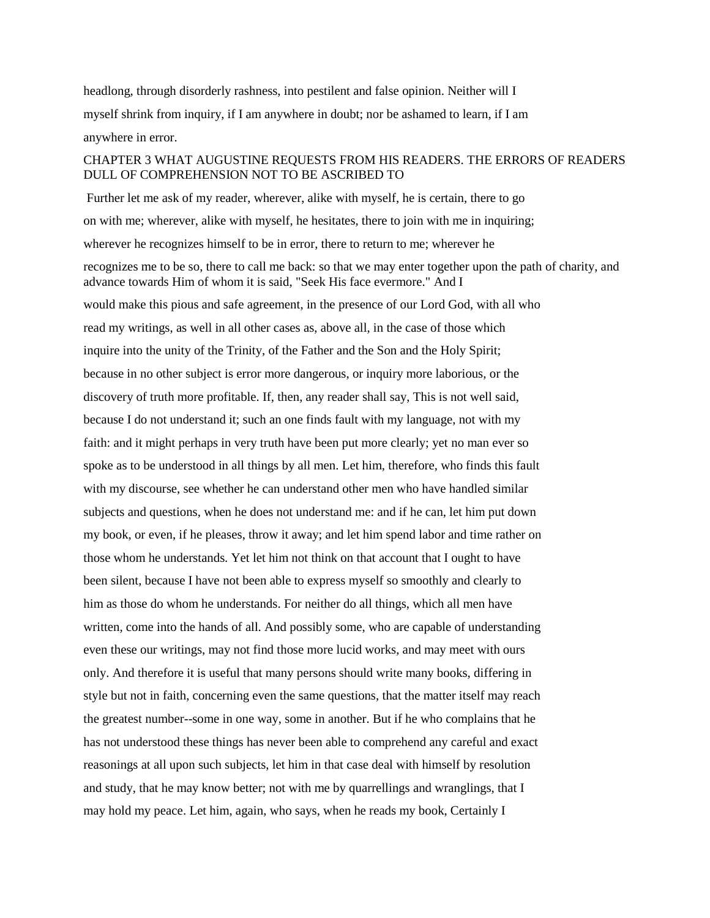headlong, through disorderly rashness, into pestilent and false opinion. Neither will I myself shrink from inquiry, if I am anywhere in doubt; nor be ashamed to learn, if I am anywhere in error.

## CHAPTER 3 WHAT AUGUSTINE REQUESTS FROM HIS READERS. THE ERRORS OF READERS DULL OF COMPREHENSION NOT TO BE ASCRIBED TO

Further let me ask of my reader, wherever, alike with myself, he is certain, there to go on with me; wherever, alike with myself, he hesitates, there to join with me in inquiring; wherever he recognizes himself to be in error, there to return to me; wherever he recognizes me to be so, there to call me back: so that we may enter together upon the path of charity, and advance towards Him of whom it is said, "Seek His face evermore." And I would make this pious and safe agreement, in the presence of our Lord God, with all who read my writings, as well in all other cases as, above all, in the case of those which inquire into the unity of the Trinity, of the Father and the Son and the Holy Spirit; because in no other subject is error more dangerous, or inquiry more laborious, or the discovery of truth more profitable. If, then, any reader shall say, This is not well said, because I do not understand it; such an one finds fault with my language, not with my faith: and it might perhaps in very truth have been put more clearly; yet no man ever so spoke as to be understood in all things by all men. Let him, therefore, who finds this fault with my discourse, see whether he can understand other men who have handled similar subjects and questions, when he does not understand me: and if he can, let him put down my book, or even, if he pleases, throw it away; and let him spend labor and time rather on those whom he understands. Yet let him not think on that account that I ought to have been silent, because I have not been able to express myself so smoothly and clearly to him as those do whom he understands. For neither do all things, which all men have written, come into the hands of all. And possibly some, who are capable of understanding even these our writings, may not find those more lucid works, and may meet with ours only. And therefore it is useful that many persons should write many books, differing in style but not in faith, concerning even the same questions, that the matter itself may reach the greatest number--some in one way, some in another. But if he who complains that he has not understood these things has never been able to comprehend any careful and exact reasonings at all upon such subjects, let him in that case deal with himself by resolution and study, that he may know better; not with me by quarrellings and wranglings, that I may hold my peace. Let him, again, who says, when he reads my book, Certainly I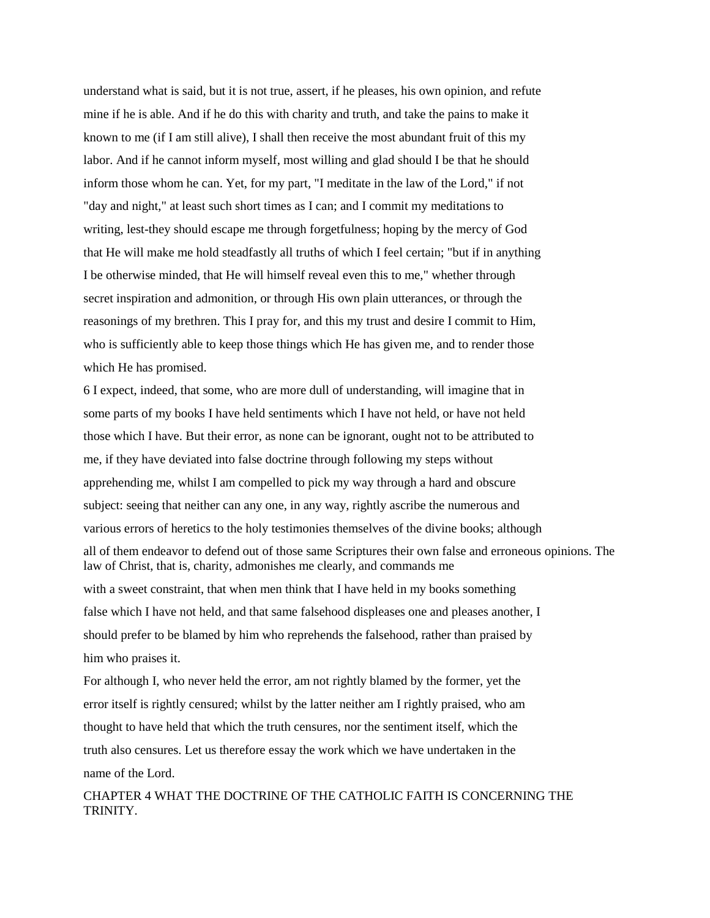understand what is said, but it is not true, assert, if he pleases, his own opinion, and refute mine if he is able. And if he do this with charity and truth, and take the pains to make it known to me (if I am still alive), I shall then receive the most abundant fruit of this my labor. And if he cannot inform myself, most willing and glad should I be that he should inform those whom he can. Yet, for my part, "I meditate in the law of the Lord," if not "day and night," at least such short times as I can; and I commit my meditations to writing, lest-they should escape me through forgetfulness; hoping by the mercy of God that He will make me hold steadfastly all truths of which I feel certain; "but if in anything I be otherwise minded, that He will himself reveal even this to me," whether through secret inspiration and admonition, or through His own plain utterances, or through the reasonings of my brethren. This I pray for, and this my trust and desire I commit to Him, who is sufficiently able to keep those things which He has given me, and to render those which He has promised.

6 I expect, indeed, that some, who are more dull of understanding, will imagine that in some parts of my books I have held sentiments which I have not held, or have not held those which I have. But their error, as none can be ignorant, ought not to be attributed to me, if they have deviated into false doctrine through following my steps without apprehending me, whilst I am compelled to pick my way through a hard and obscure subject: seeing that neither can any one, in any way, rightly ascribe the numerous and various errors of heretics to the holy testimonies themselves of the divine books; although all of them endeavor to defend out of those same Scriptures their own false and erroneous opinions. The law of Christ, that is, charity, admonishes me clearly, and commands me with a sweet constraint, that when men think that I have held in my books something false which I have not held, and that same falsehood displeases one and pleases another, I should prefer to be blamed by him who reprehends the falsehood, rather than praised by him who praises it.

For although I, who never held the error, am not rightly blamed by the former, yet the error itself is rightly censured; whilst by the latter neither am I rightly praised, who am thought to have held that which the truth censures, nor the sentiment itself, which the truth also censures. Let us therefore essay the work which we have undertaken in the name of the Lord.

CHAPTER 4 WHAT THE DOCTRINE OF THE CATHOLIC FAITH IS CONCERNING THE TRINITY.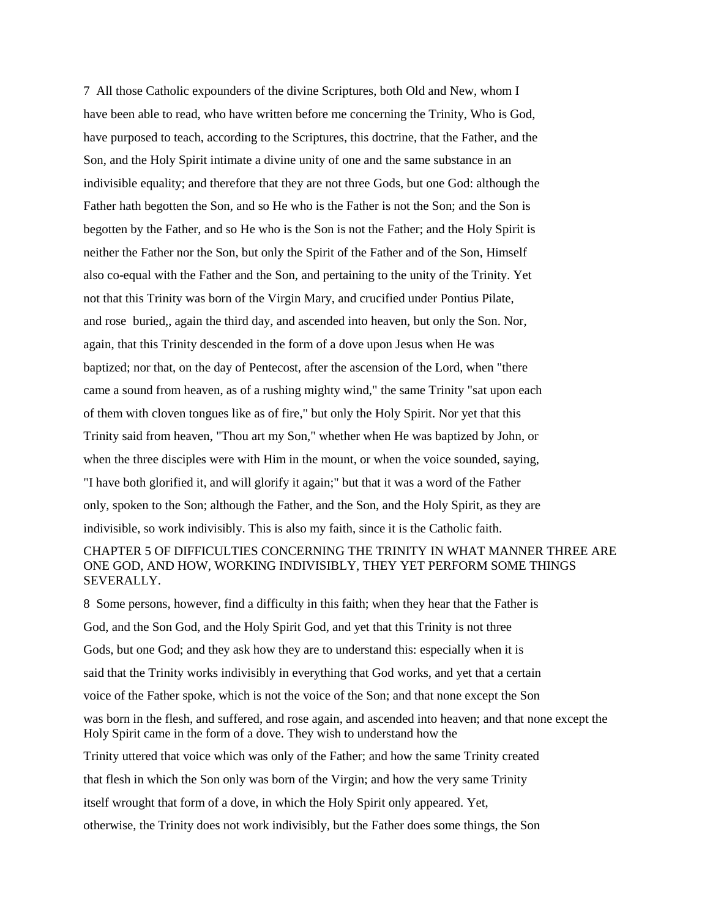7 All those Catholic expounders of the divine Scriptures, both Old and New, whom I have been able to read, who have written before me concerning the Trinity, Who is God, have purposed to teach, according to the Scriptures, this doctrine, that the Father, and the Son, and the Holy Spirit intimate a divine unity of one and the same substance in an indivisible equality; and therefore that they are not three Gods, but one God: although the Father hath begotten the Son, and so He who is the Father is not the Son; and the Son is begotten by the Father, and so He who is the Son is not the Father; and the Holy Spirit is neither the Father nor the Son, but only the Spirit of the Father and of the Son, Himself also co-equal with the Father and the Son, and pertaining to the unity of the Trinity. Yet not that this Trinity was born of the Virgin Mary, and crucified under Pontius Pilate, and rose buried,, again the third day, and ascended into heaven, but only the Son. Nor, again, that this Trinity descended in the form of a dove upon Jesus when He was baptized; nor that, on the day of Pentecost, after the ascension of the Lord, when "there came a sound from heaven, as of a rushing mighty wind," the same Trinity "sat upon each of them with cloven tongues like as of fire," but only the Holy Spirit. Nor yet that this Trinity said from heaven, "Thou art my Son," whether when He was baptized by John, or when the three disciples were with Him in the mount, or when the voice sounded, saying, "I have both glorified it, and will glorify it again;" but that it was a word of the Father only, spoken to the Son; although the Father, and the Son, and the Holy Spirit, as they are indivisible, so work indivisibly. This is also my faith, since it is the Catholic faith.

### CHAPTER 5 OF DIFFICULTIES CONCERNING THE TRINITY IN WHAT MANNER THREE ARE ONE GOD, AND HOW, WORKING INDIVISIBLY, THEY YET PERFORM SOME THINGS SEVERALLY.

8 Some persons, however, find a difficulty in this faith; when they hear that the Father is God, and the Son God, and the Holy Spirit God, and yet that this Trinity is not three Gods, but one God; and they ask how they are to understand this: especially when it is said that the Trinity works indivisibly in everything that God works, and yet that a certain voice of the Father spoke, which is not the voice of the Son; and that none except the Son was born in the flesh, and suffered, and rose again, and ascended into heaven; and that none except the Holy Spirit came in the form of a dove. They wish to understand how the Trinity uttered that voice which was only of the Father; and how the same Trinity created that flesh in which the Son only was born of the Virgin; and how the very same Trinity itself wrought that form of a dove, in which the Holy Spirit only appeared. Yet, otherwise, the Trinity does not work indivisibly, but the Father does some things, the Son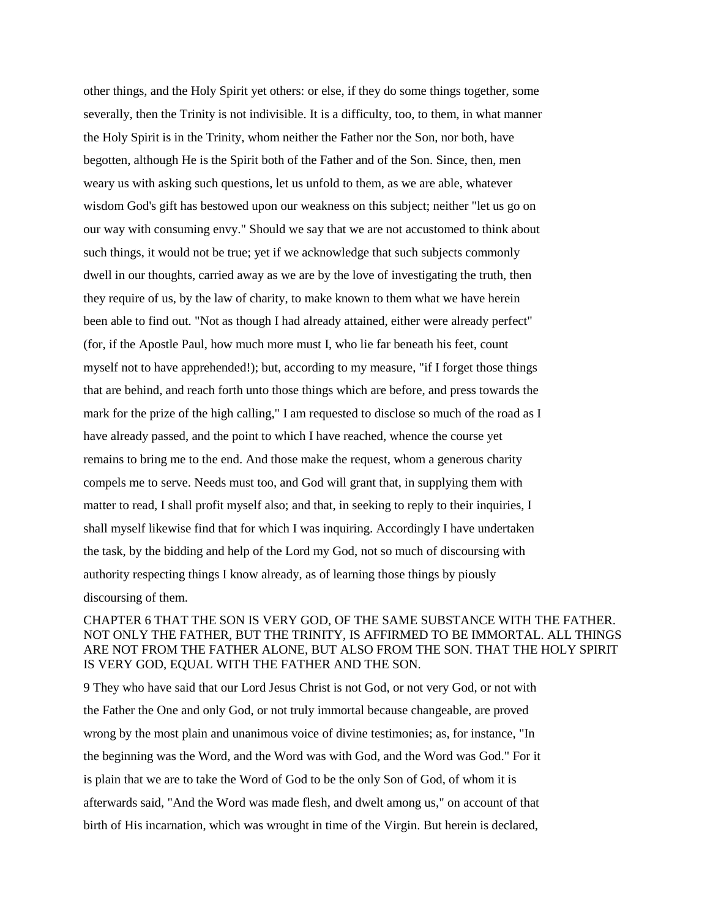other things, and the Holy Spirit yet others: or else, if they do some things together, some severally, then the Trinity is not indivisible. It is a difficulty, too, to them, in what manner the Holy Spirit is in the Trinity, whom neither the Father nor the Son, nor both, have begotten, although He is the Spirit both of the Father and of the Son. Since, then, men weary us with asking such questions, let us unfold to them, as we are able, whatever wisdom God's gift has bestowed upon our weakness on this subject; neither "let us go on our way with consuming envy." Should we say that we are not accustomed to think about such things, it would not be true; yet if we acknowledge that such subjects commonly dwell in our thoughts, carried away as we are by the love of investigating the truth, then they require of us, by the law of charity, to make known to them what we have herein been able to find out. "Not as though I had already attained, either were already perfect" (for, if the Apostle Paul, how much more must I, who lie far beneath his feet, count myself not to have apprehended!); but, according to my measure, "if I forget those things that are behind, and reach forth unto those things which are before, and press towards the mark for the prize of the high calling," I am requested to disclose so much of the road as I have already passed, and the point to which I have reached, whence the course yet remains to bring me to the end. And those make the request, whom a generous charity compels me to serve. Needs must too, and God will grant that, in supplying them with matter to read, I shall profit myself also; and that, in seeking to reply to their inquiries, I shall myself likewise find that for which I was inquiring. Accordingly I have undertaken the task, by the bidding and help of the Lord my God, not so much of discoursing with authority respecting things I know already, as of learning those things by piously discoursing of them.

## CHAPTER 6 THAT THE SON IS VERY GOD, OF THE SAME SUBSTANCE WITH THE FATHER. NOT ONLY THE FATHER, BUT THE TRINITY, IS AFFIRMED TO BE IMMORTAL. ALL THINGS ARE NOT FROM THE FATHER ALONE, BUT ALSO FROM THE SON. THAT THE HOLY SPIRIT IS VERY GOD, EQUAL WITH THE FATHER AND THE SON.

9 They who have said that our Lord Jesus Christ is not God, or not very God, or not with the Father the One and only God, or not truly immortal because changeable, are proved wrong by the most plain and unanimous voice of divine testimonies; as, for instance, "In the beginning was the Word, and the Word was with God, and the Word was God." For it is plain that we are to take the Word of God to be the only Son of God, of whom it is afterwards said, "And the Word was made flesh, and dwelt among us," on account of that birth of His incarnation, which was wrought in time of the Virgin. But herein is declared,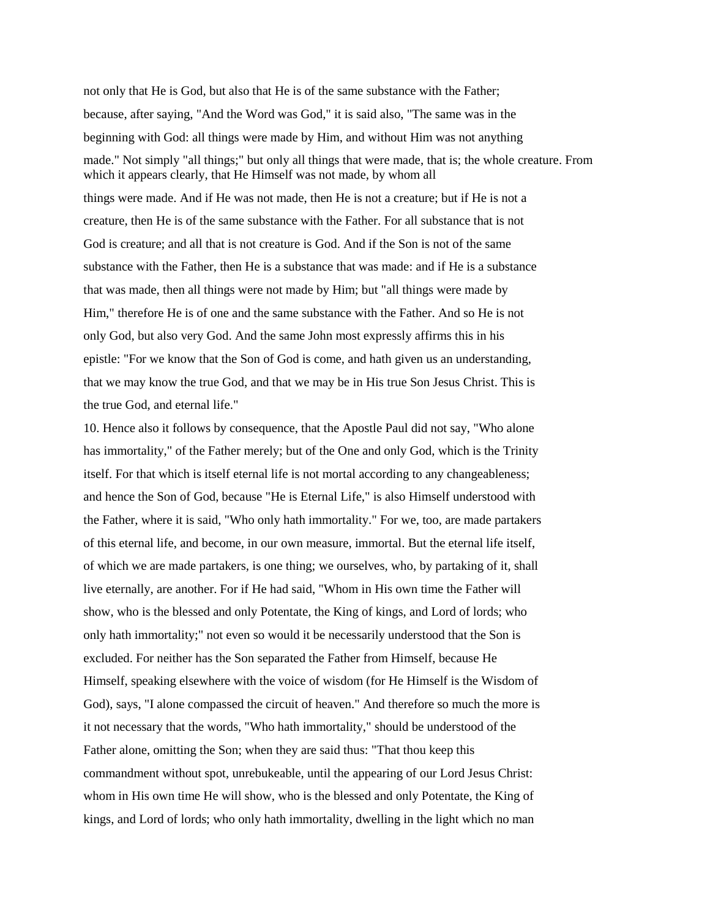not only that He is God, but also that He is of the same substance with the Father; because, after saying, "And the Word was God," it is said also, "The same was in the beginning with God: all things were made by Him, and without Him was not anything made." Not simply "all things;" but only all things that were made, that is; the whole creature. From which it appears clearly, that He Himself was not made, by whom all things were made. And if He was not made, then He is not a creature; but if He is not a creature, then He is of the same substance with the Father. For all substance that is not God is creature; and all that is not creature is God. And if the Son is not of the same substance with the Father, then He is a substance that was made: and if He is a substance that was made, then all things were not made by Him; but "all things were made by Him," therefore He is of one and the same substance with the Father. And so He is not only God, but also very God. And the same John most expressly affirms this in his epistle: "For we know that the Son of God is come, and hath given us an understanding, that we may know the true God, and that we may be in His true Son Jesus Christ. This is the true God, and eternal life."

10. Hence also it follows by consequence, that the Apostle Paul did not say, "Who alone has immortality," of the Father merely; but of the One and only God, which is the Trinity itself. For that which is itself eternal life is not mortal according to any changeableness; and hence the Son of God, because "He is Eternal Life," is also Himself understood with the Father, where it is said, "Who only hath immortality." For we, too, are made partakers of this eternal life, and become, in our own measure, immortal. But the eternal life itself, of which we are made partakers, is one thing; we ourselves, who, by partaking of it, shall live eternally, are another. For if He had said, "Whom in His own time the Father will show, who is the blessed and only Potentate, the King of kings, and Lord of lords; who only hath immortality;" not even so would it be necessarily understood that the Son is excluded. For neither has the Son separated the Father from Himself, because He Himself, speaking elsewhere with the voice of wisdom (for He Himself is the Wisdom of God), says, "I alone compassed the circuit of heaven." And therefore so much the more is it not necessary that the words, "Who hath immortality," should be understood of the Father alone, omitting the Son; when they are said thus: "That thou keep this commandment without spot, unrebukeable, until the appearing of our Lord Jesus Christ: whom in His own time He will show, who is the blessed and only Potentate, the King of kings, and Lord of lords; who only hath immortality, dwelling in the light which no man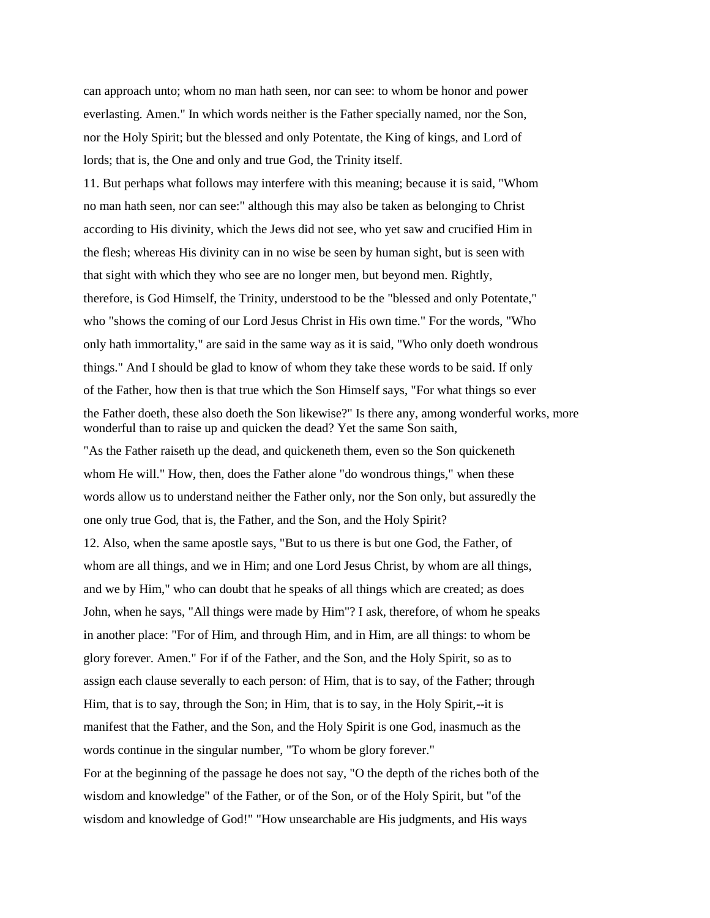can approach unto; whom no man hath seen, nor can see: to whom be honor and power everlasting. Amen." In which words neither is the Father specially named, nor the Son, nor the Holy Spirit; but the blessed and only Potentate, the King of kings, and Lord of lords; that is, the One and only and true God, the Trinity itself.

11. But perhaps what follows may interfere with this meaning; because it is said, "Whom no man hath seen, nor can see:" although this may also be taken as belonging to Christ according to His divinity, which the Jews did not see, who yet saw and crucified Him in the flesh; whereas His divinity can in no wise be seen by human sight, but is seen with that sight with which they who see are no longer men, but beyond men. Rightly, therefore, is God Himself, the Trinity, understood to be the "blessed and only Potentate," who "shows the coming of our Lord Jesus Christ in His own time." For the words, "Who only hath immortality," are said in the same way as it is said, "Who only doeth wondrous things." And I should be glad to know of whom they take these words to be said. If only of the Father, how then is that true which the Son Himself says, "For what things so ever the Father doeth, these also doeth the Son likewise?" Is there any, among wonderful works, more wonderful than to raise up and quicken the dead? Yet the same Son saith,

"As the Father raiseth up the dead, and quickeneth them, even so the Son quickeneth whom He will." How, then, does the Father alone "do wondrous things," when these words allow us to understand neither the Father only, nor the Son only, but assuredly the one only true God, that is, the Father, and the Son, and the Holy Spirit? 12. Also, when the same apostle says, "But to us there is but one God, the Father, of whom are all things, and we in Him; and one Lord Jesus Christ, by whom are all things, and we by Him," who can doubt that he speaks of all things which are created; as does John, when he says, "All things were made by Him"? I ask, therefore, of whom he speaks in another place: "For of Him, and through Him, and in Him, are all things: to whom be glory forever. Amen." For if of the Father, and the Son, and the Holy Spirit, so as to assign each clause severally to each person: of Him, that is to say, of the Father; through Him, that is to say, through the Son; in Him, that is to say, in the Holy Spirit,--it is manifest that the Father, and the Son, and the Holy Spirit is one God, inasmuch as the words continue in the singular number, "To whom be glory forever." For at the beginning of the passage he does not say, "O the depth of the riches both of the wisdom and knowledge" of the Father, or of the Son, or of the Holy Spirit, but "of the wisdom and knowledge of God!" "How unsearchable are His judgments, and His ways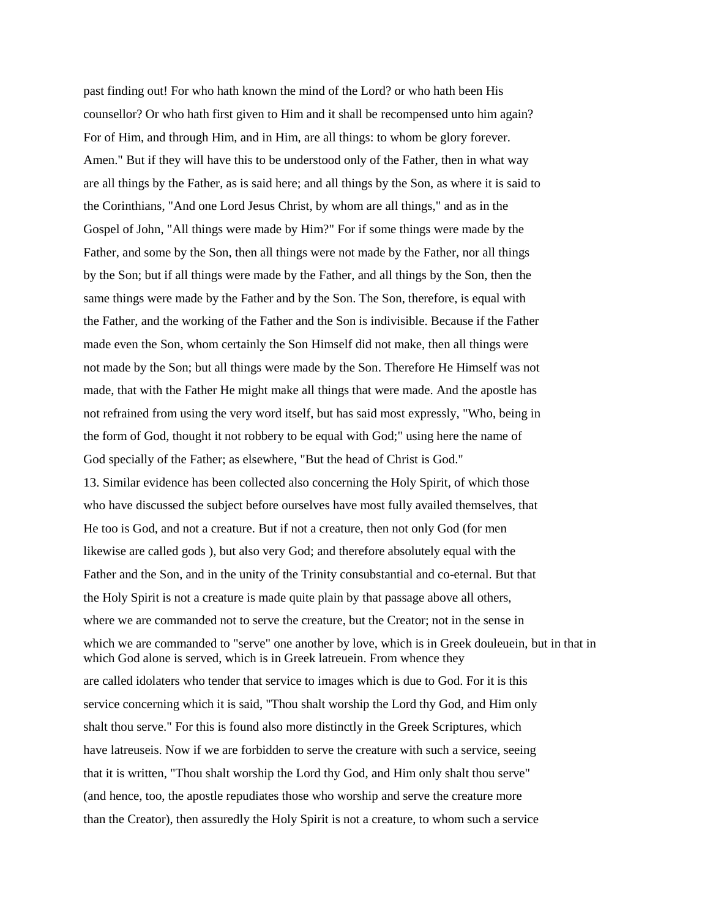past finding out! For who hath known the mind of the Lord? or who hath been His counsellor? Or who hath first given to Him and it shall be recompensed unto him again? For of Him, and through Him, and in Him, are all things: to whom be glory forever. Amen." But if they will have this to be understood only of the Father, then in what way are all things by the Father, as is said here; and all things by the Son, as where it is said to the Corinthians, "And one Lord Jesus Christ, by whom are all things," and as in the Gospel of John, "All things were made by Him?" For if some things were made by the Father, and some by the Son, then all things were not made by the Father, nor all things by the Son; but if all things were made by the Father, and all things by the Son, then the same things were made by the Father and by the Son. The Son, therefore, is equal with the Father, and the working of the Father and the Son is indivisible. Because if the Father made even the Son, whom certainly the Son Himself did not make, then all things were not made by the Son; but all things were made by the Son. Therefore He Himself was not made, that with the Father He might make all things that were made. And the apostle has not refrained from using the very word itself, but has said most expressly, "Who, being in the form of God, thought it not robbery to be equal with God;" using here the name of God specially of the Father; as elsewhere, "But the head of Christ is God." 13. Similar evidence has been collected also concerning the Holy Spirit, of which those who have discussed the subject before ourselves have most fully availed themselves, that He too is God, and not a creature. But if not a creature, then not only God (for men likewise are called gods ), but also very God; and therefore absolutely equal with the Father and the Son, and in the unity of the Trinity consubstantial and co-eternal. But that the Holy Spirit is not a creature is made quite plain by that passage above all others, where we are commanded not to serve the creature, but the Creator; not in the sense in which we are commanded to "serve" one another by love, which is in Greek douleuein, but in that in which God alone is served, which is in Greek latreuein. From whence they are called idolaters who tender that service to images which is due to God. For it is this service concerning which it is said, "Thou shalt worship the Lord thy God, and Him only shalt thou serve." For this is found also more distinctly in the Greek Scriptures, which have latreuseis. Now if we are forbidden to serve the creature with such a service, seeing that it is written, "Thou shalt worship the Lord thy God, and Him only shalt thou serve" (and hence, too, the apostle repudiates those who worship and serve the creature more than the Creator), then assuredly the Holy Spirit is not a creature, to whom such a service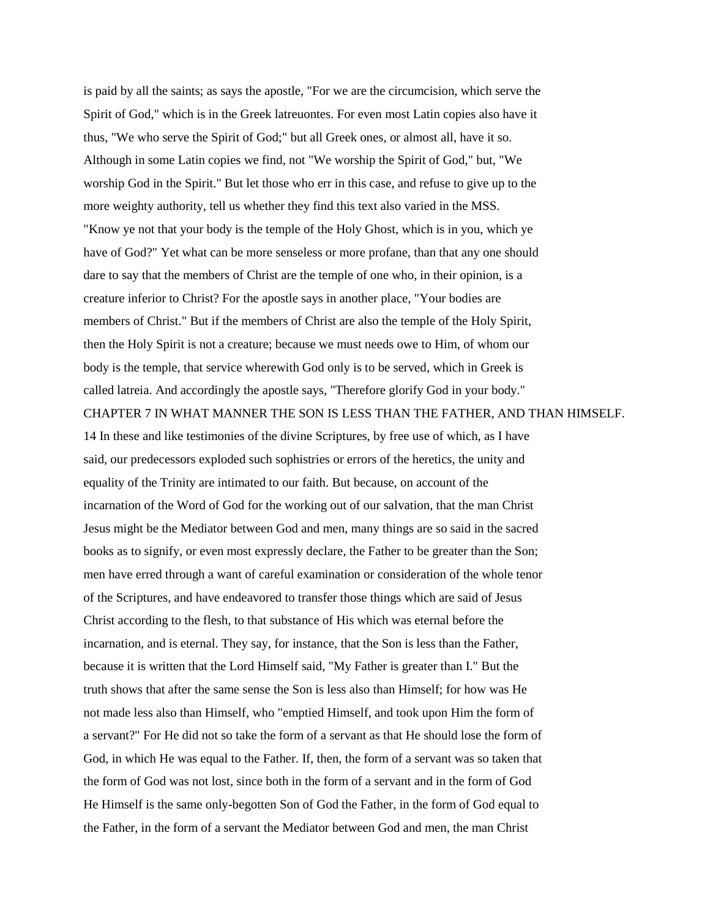is paid by all the saints; as says the apostle, "For we are the circumcision, which serve the Spirit of God," which is in the Greek latreuontes. For even most Latin copies also have it thus, "We who serve the Spirit of God;" but all Greek ones, or almost all, have it so. Although in some Latin copies we find, not "We worship the Spirit of God," but, "We worship God in the Spirit." But let those who err in this case, and refuse to give up to the more weighty authority, tell us whether they find this text also varied in the MSS. "Know ye not that your body is the temple of the Holy Ghost, which is in you, which ye have of God?" Yet what can be more senseless or more profane, than that any one should dare to say that the members of Christ are the temple of one who, in their opinion, is a creature inferior to Christ? For the apostle says in another place, "Your bodies are members of Christ." But if the members of Christ are also the temple of the Holy Spirit, then the Holy Spirit is not a creature; because we must needs owe to Him, of whom our body is the temple, that service wherewith God only is to be served, which in Greek is called latreia. And accordingly the apostle says, "Therefore glorify God in your body." CHAPTER 7 IN WHAT MANNER THE SON IS LESS THAN THE FATHER, AND THAN HIMSELF. 14 In these and like testimonies of the divine Scriptures, by free use of which, as I have said, our predecessors exploded such sophistries or errors of the heretics, the unity and equality of the Trinity are intimated to our faith. But because, on account of the incarnation of the Word of God for the working out of our salvation, that the man Christ Jesus might be the Mediator between God and men, many things are so said in the sacred books as to signify, or even most expressly declare, the Father to be greater than the Son; men have erred through a want of careful examination or consideration of the whole tenor of the Scriptures, and have endeavored to transfer those things which are said of Jesus Christ according to the flesh, to that substance of His which was eternal before the incarnation, and is eternal. They say, for instance, that the Son is less than the Father, because it is written that the Lord Himself said, "My Father is greater than I." But the truth shows that after the same sense the Son is less also than Himself; for how was He not made less also than Himself, who "emptied Himself, and took upon Him the form of a servant?" For He did not so take the form of a servant as that He should lose the form of God, in which He was equal to the Father. If, then, the form of a servant was so taken that the form of God was not lost, since both in the form of a servant and in the form of God He Himself is the same only-begotten Son of God the Father, in the form of God equal to the Father, in the form of a servant the Mediator between God and men, the man Christ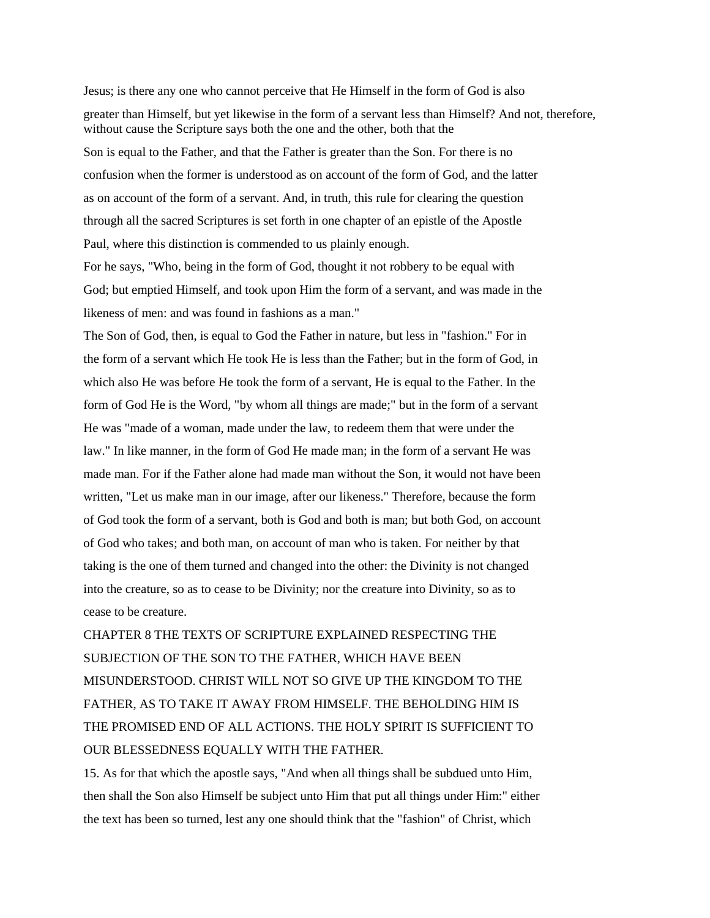Jesus; is there any one who cannot perceive that He Himself in the form of God is also greater than Himself, but yet likewise in the form of a servant less than Himself? And not, therefore, without cause the Scripture says both the one and the other, both that the Son is equal to the Father, and that the Father is greater than the Son. For there is no confusion when the former is understood as on account of the form of God, and the latter as on account of the form of a servant. And, in truth, this rule for clearing the question through all the sacred Scriptures is set forth in one chapter of an epistle of the Apostle Paul, where this distinction is commended to us plainly enough.

For he says, "Who, being in the form of God, thought it not robbery to be equal with God; but emptied Himself, and took upon Him the form of a servant, and was made in the likeness of men: and was found in fashions as a man."

The Son of God, then, is equal to God the Father in nature, but less in "fashion." For in the form of a servant which He took He is less than the Father; but in the form of God, in which also He was before He took the form of a servant, He is equal to the Father. In the form of God He is the Word, "by whom all things are made;" but in the form of a servant He was "made of a woman, made under the law, to redeem them that were under the law." In like manner, in the form of God He made man; in the form of a servant He was made man. For if the Father alone had made man without the Son, it would not have been written, "Let us make man in our image, after our likeness." Therefore, because the form of God took the form of a servant, both is God and both is man; but both God, on account of God who takes; and both man, on account of man who is taken. For neither by that taking is the one of them turned and changed into the other: the Divinity is not changed into the creature, so as to cease to be Divinity; nor the creature into Divinity, so as to cease to be creature.

CHAPTER 8 THE TEXTS OF SCRIPTURE EXPLAINED RESPECTING THE SUBJECTION OF THE SON TO THE FATHER, WHICH HAVE BEEN MISUNDERSTOOD. CHRIST WILL NOT SO GIVE UP THE KINGDOM TO THE FATHER, AS TO TAKE IT AWAY FROM HIMSELF. THE BEHOLDING HIM IS THE PROMISED END OF ALL ACTIONS. THE HOLY SPIRIT IS SUFFICIENT TO OUR BLESSEDNESS EQUALLY WITH THE FATHER.

15. As for that which the apostle says, "And when all things shall be subdued unto Him, then shall the Son also Himself be subject unto Him that put all things under Him:" either the text has been so turned, lest any one should think that the "fashion" of Christ, which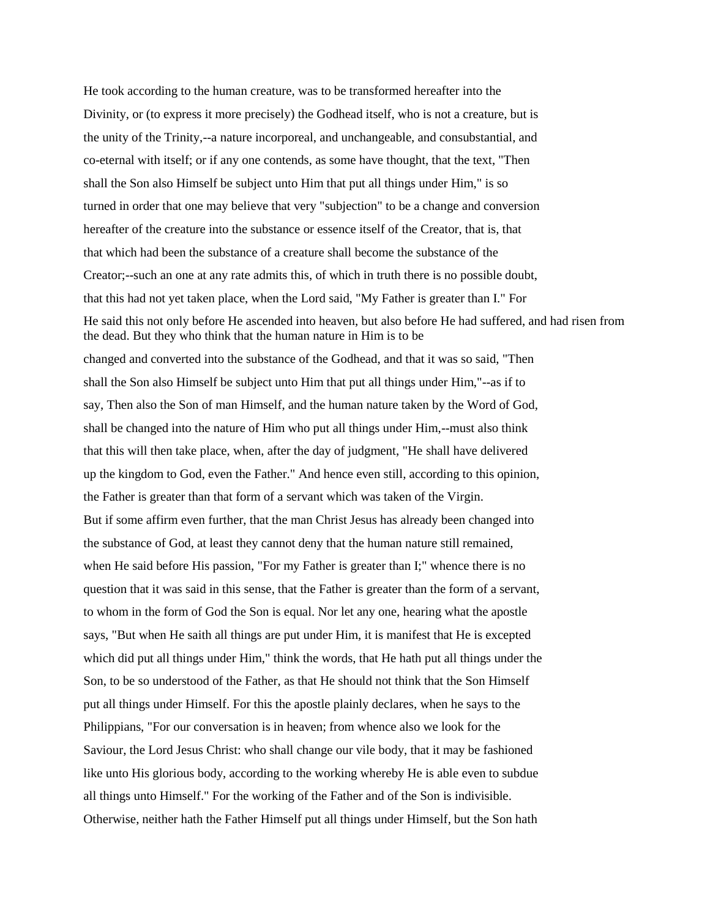He took according to the human creature, was to be transformed hereafter into the Divinity, or (to express it more precisely) the Godhead itself, who is not a creature, but is the unity of the Trinity,--a nature incorporeal, and unchangeable, and consubstantial, and co-eternal with itself; or if any one contends, as some have thought, that the text, "Then shall the Son also Himself be subject unto Him that put all things under Him," is so turned in order that one may believe that very "subjection" to be a change and conversion hereafter of the creature into the substance or essence itself of the Creator, that is, that that which had been the substance of a creature shall become the substance of the Creator;--such an one at any rate admits this, of which in truth there is no possible doubt, that this had not yet taken place, when the Lord said, "My Father is greater than I." For He said this not only before He ascended into heaven, but also before He had suffered, and had risen from the dead. But they who think that the human nature in Him is to be changed and converted into the substance of the Godhead, and that it was so said, "Then shall the Son also Himself be subject unto Him that put all things under Him,"--as if to say, Then also the Son of man Himself, and the human nature taken by the Word of God, shall be changed into the nature of Him who put all things under Him,--must also think that this will then take place, when, after the day of judgment, "He shall have delivered up the kingdom to God, even the Father." And hence even still, according to this opinion, the Father is greater than that form of a servant which was taken of the Virgin. But if some affirm even further, that the man Christ Jesus has already been changed into the substance of God, at least they cannot deny that the human nature still remained, when He said before His passion, "For my Father is greater than I;" whence there is no question that it was said in this sense, that the Father is greater than the form of a servant, to whom in the form of God the Son is equal. Nor let any one, hearing what the apostle says, "But when He saith all things are put under Him, it is manifest that He is excepted which did put all things under Him," think the words, that He hath put all things under the Son, to be so understood of the Father, as that He should not think that the Son Himself put all things under Himself. For this the apostle plainly declares, when he says to the Philippians, "For our conversation is in heaven; from whence also we look for the Saviour, the Lord Jesus Christ: who shall change our vile body, that it may be fashioned like unto His glorious body, according to the working whereby He is able even to subdue all things unto Himself." For the working of the Father and of the Son is indivisible. Otherwise, neither hath the Father Himself put all things under Himself, but the Son hath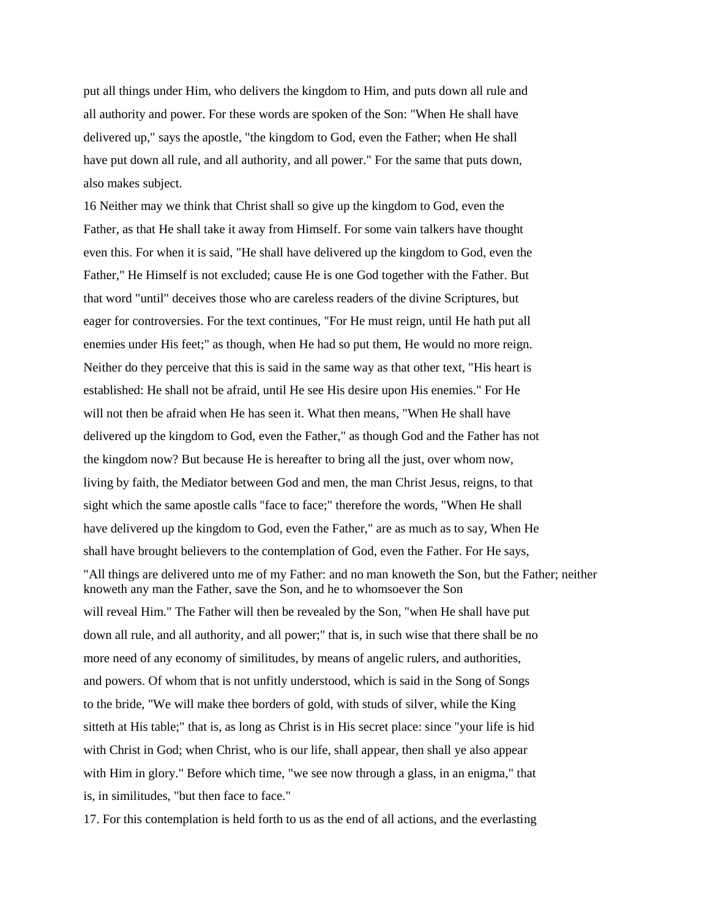put all things under Him, who delivers the kingdom to Him, and puts down all rule and all authority and power. For these words are spoken of the Son: "When He shall have delivered up," says the apostle, "the kingdom to God, even the Father; when He shall have put down all rule, and all authority, and all power." For the same that puts down, also makes subject.

16 Neither may we think that Christ shall so give up the kingdom to God, even the Father, as that He shall take it away from Himself. For some vain talkers have thought even this. For when it is said, "He shall have delivered up the kingdom to God, even the Father," He Himself is not excluded; cause He is one God together with the Father. But that word "until" deceives those who are careless readers of the divine Scriptures, but eager for controversies. For the text continues, "For He must reign, until He hath put all enemies under His feet;" as though, when He had so put them, He would no more reign. Neither do they perceive that this is said in the same way as that other text, "His heart is established: He shall not be afraid, until He see His desire upon His enemies." For He will not then be afraid when He has seen it. What then means, "When He shall have delivered up the kingdom to God, even the Father," as though God and the Father has not the kingdom now? But because He is hereafter to bring all the just, over whom now, living by faith, the Mediator between God and men, the man Christ Jesus, reigns, to that sight which the same apostle calls "face to face;" therefore the words, "When He shall have delivered up the kingdom to God, even the Father," are as much as to say, When He shall have brought believers to the contemplation of God, even the Father. For He says, "All things are delivered unto me of my Father: and no man knoweth the Son, but the Father; neither knoweth any man the Father, save the Son, and he to whomsoever the Son will reveal Him." The Father will then be revealed by the Son, "when He shall have put down all rule, and all authority, and all power;" that is, in such wise that there shall be no more need of any economy of similitudes, by means of angelic rulers, and authorities, and powers. Of whom that is not unfitly understood, which is said in the Song of Songs to the bride, "We will make thee borders of gold, with studs of silver, while the King sitteth at His table;" that is, as long as Christ is in His secret place: since "your life is hid with Christ in God; when Christ, who is our life, shall appear, then shall ye also appear with Him in glory." Before which time, "we see now through a glass, in an enigma," that is, in similitudes, "but then face to face."

17. For this contemplation is held forth to us as the end of all actions, and the everlasting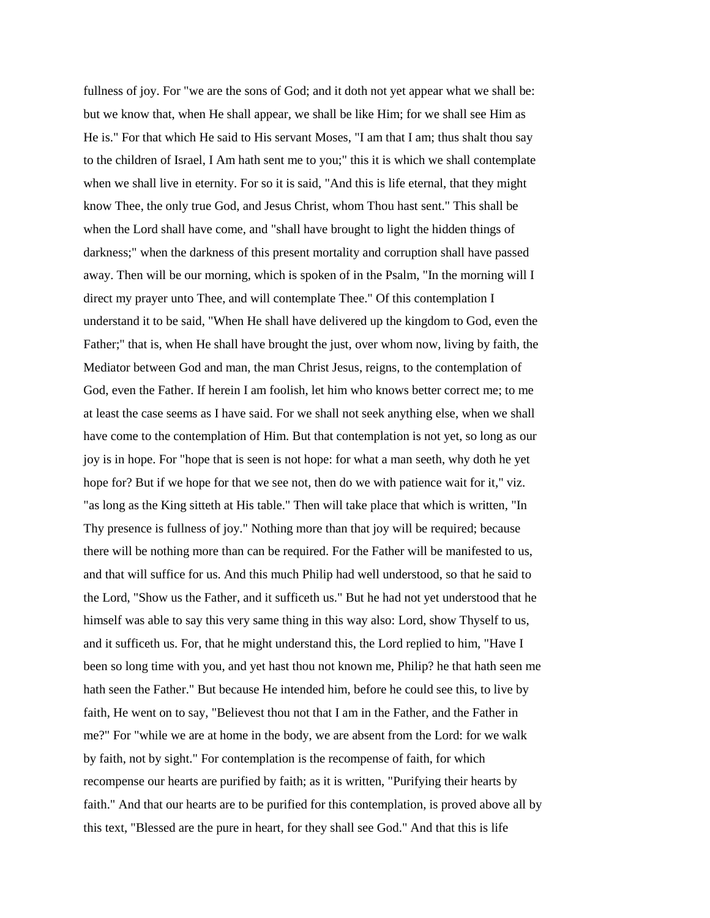fullness of joy. For "we are the sons of God; and it doth not yet appear what we shall be: but we know that, when He shall appear, we shall be like Him; for we shall see Him as He is." For that which He said to His servant Moses, "I am that I am; thus shalt thou say to the children of Israel, I Am hath sent me to you;" this it is which we shall contemplate when we shall live in eternity. For so it is said, "And this is life eternal, that they might know Thee, the only true God, and Jesus Christ, whom Thou hast sent." This shall be when the Lord shall have come, and "shall have brought to light the hidden things of darkness;" when the darkness of this present mortality and corruption shall have passed away. Then will be our morning, which is spoken of in the Psalm, "In the morning will I direct my prayer unto Thee, and will contemplate Thee." Of this contemplation I understand it to be said, "When He shall have delivered up the kingdom to God, even the Father;" that is, when He shall have brought the just, over whom now, living by faith, the Mediator between God and man, the man Christ Jesus, reigns, to the contemplation of God, even the Father. If herein I am foolish, let him who knows better correct me; to me at least the case seems as I have said. For we shall not seek anything else, when we shall have come to the contemplation of Him. But that contemplation is not yet, so long as our joy is in hope. For "hope that is seen is not hope: for what a man seeth, why doth he yet hope for? But if we hope for that we see not, then do we with patience wait for it," viz. "as long as the King sitteth at His table." Then will take place that which is written, "In Thy presence is fullness of joy." Nothing more than that joy will be required; because there will be nothing more than can be required. For the Father will be manifested to us, and that will suffice for us. And this much Philip had well understood, so that he said to the Lord, "Show us the Father, and it sufficeth us." But he had not yet understood that he himself was able to say this very same thing in this way also: Lord, show Thyself to us, and it sufficeth us. For, that he might understand this, the Lord replied to him, "Have I been so long time with you, and yet hast thou not known me, Philip? he that hath seen me hath seen the Father." But because He intended him, before he could see this, to live by faith, He went on to say, "Believest thou not that I am in the Father, and the Father in me?" For "while we are at home in the body, we are absent from the Lord: for we walk by faith, not by sight." For contemplation is the recompense of faith, for which recompense our hearts are purified by faith; as it is written, "Purifying their hearts by faith." And that our hearts are to be purified for this contemplation, is proved above all by this text, "Blessed are the pure in heart, for they shall see God." And that this is life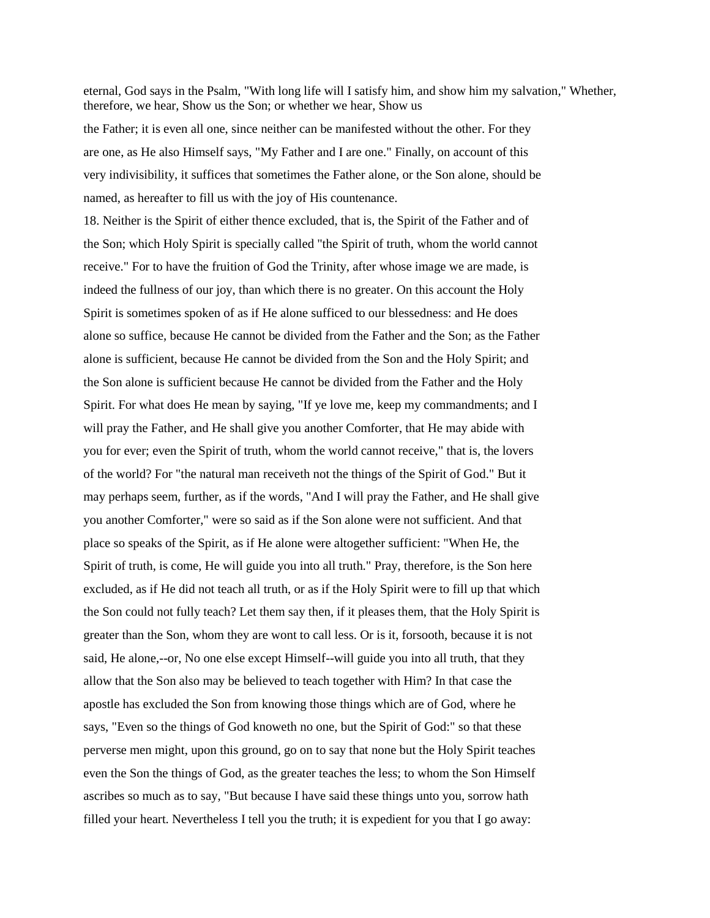eternal, God says in the Psalm, "With long life will I satisfy him, and show him my salvation," Whether, therefore, we hear, Show us the Son; or whether we hear, Show us

the Father; it is even all one, since neither can be manifested without the other. For they are one, as He also Himself says, "My Father and I are one." Finally, on account of this very indivisibility, it suffices that sometimes the Father alone, or the Son alone, should be named, as hereafter to fill us with the joy of His countenance.

18. Neither is the Spirit of either thence excluded, that is, the Spirit of the Father and of the Son; which Holy Spirit is specially called "the Spirit of truth, whom the world cannot receive." For to have the fruition of God the Trinity, after whose image we are made, is indeed the fullness of our joy, than which there is no greater. On this account the Holy Spirit is sometimes spoken of as if He alone sufficed to our blessedness: and He does alone so suffice, because He cannot be divided from the Father and the Son; as the Father alone is sufficient, because He cannot be divided from the Son and the Holy Spirit; and the Son alone is sufficient because He cannot be divided from the Father and the Holy Spirit. For what does He mean by saying, "If ye love me, keep my commandments; and I will pray the Father, and He shall give you another Comforter, that He may abide with you for ever; even the Spirit of truth, whom the world cannot receive," that is, the lovers of the world? For "the natural man receiveth not the things of the Spirit of God." But it may perhaps seem, further, as if the words, "And I will pray the Father, and He shall give you another Comforter," were so said as if the Son alone were not sufficient. And that place so speaks of the Spirit, as if He alone were altogether sufficient: "When He, the Spirit of truth, is come, He will guide you into all truth." Pray, therefore, is the Son here excluded, as if He did not teach all truth, or as if the Holy Spirit were to fill up that which the Son could not fully teach? Let them say then, if it pleases them, that the Holy Spirit is greater than the Son, whom they are wont to call less. Or is it, forsooth, because it is not said, He alone,--or, No one else except Himself--will guide you into all truth, that they allow that the Son also may be believed to teach together with Him? In that case the apostle has excluded the Son from knowing those things which are of God, where he says, "Even so the things of God knoweth no one, but the Spirit of God:" so that these perverse men might, upon this ground, go on to say that none but the Holy Spirit teaches even the Son the things of God, as the greater teaches the less; to whom the Son Himself ascribes so much as to say, "But because I have said these things unto you, sorrow hath filled your heart. Nevertheless I tell you the truth; it is expedient for you that I go away: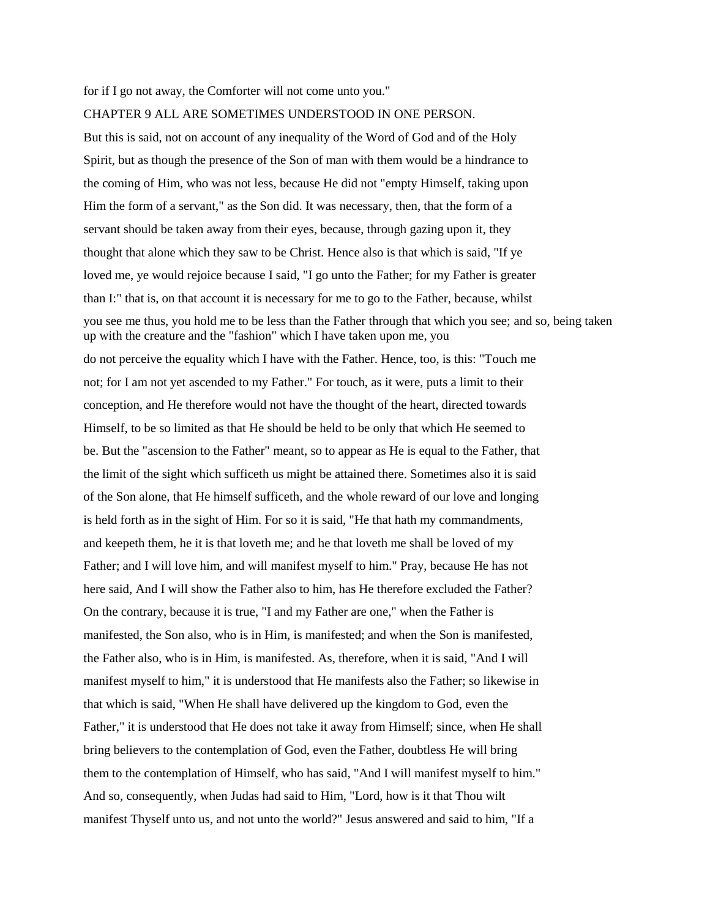for if I go not away, the Comforter will not come unto you."

#### CHAPTER 9 ALL ARE SOMETIMES UNDERSTOOD IN ONE PERSON.

But this is said, not on account of any inequality of the Word of God and of the Holy Spirit, but as though the presence of the Son of man with them would be a hindrance to the coming of Him, who was not less, because He did not "empty Himself, taking upon Him the form of a servant," as the Son did. It was necessary, then, that the form of a servant should be taken away from their eyes, because, through gazing upon it, they thought that alone which they saw to be Christ. Hence also is that which is said, "If ye loved me, ye would rejoice because I said, "I go unto the Father; for my Father is greater than I:" that is, on that account it is necessary for me to go to the Father, because, whilst you see me thus, you hold me to be less than the Father through that which you see; and so, being taken up with the creature and the "fashion" which I have taken upon me, you do not perceive the equality which I have with the Father. Hence, too, is this: "Touch me not; for I am not yet ascended to my Father." For touch, as it were, puts a limit to their conception, and He therefore would not have the thought of the heart, directed towards Himself, to be so limited as that He should be held to be only that which He seemed to be. But the "ascension to the Father" meant, so to appear as He is equal to the Father, that the limit of the sight which sufficeth us might be attained there. Sometimes also it is said of the Son alone, that He himself sufficeth, and the whole reward of our love and longing is held forth as in the sight of Him. For so it is said, "He that hath my commandments, and keepeth them, he it is that loveth me; and he that loveth me shall be loved of my Father; and I will love him, and will manifest myself to him." Pray, because He has not here said, And I will show the Father also to him, has He therefore excluded the Father? On the contrary, because it is true, "I and my Father are one," when the Father is manifested, the Son also, who is in Him, is manifested; and when the Son is manifested, the Father also, who is in Him, is manifested. As, therefore, when it is said, "And I will manifest myself to him," it is understood that He manifests also the Father; so likewise in that which is said, "When He shall have delivered up the kingdom to God, even the Father," it is understood that He does not take it away from Himself; since, when He shall bring believers to the contemplation of God, even the Father, doubtless He will bring them to the contemplation of Himself, who has said, "And I will manifest myself to him." And so, consequently, when Judas had said to Him, "Lord, how is it that Thou wilt manifest Thyself unto us, and not unto the world?" Jesus answered and said to him, "If a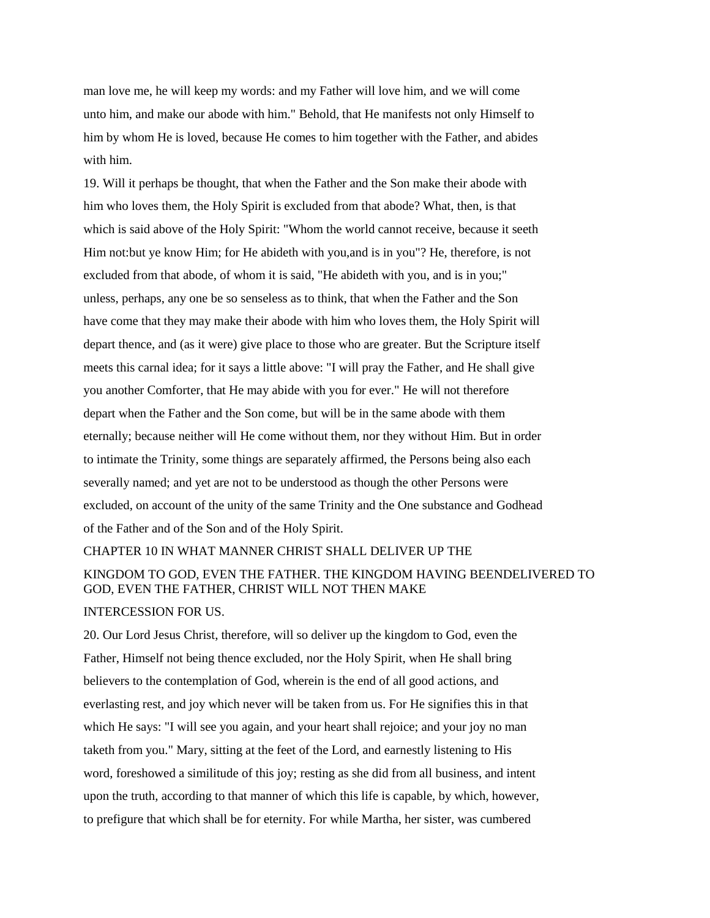man love me, he will keep my words: and my Father will love him, and we will come unto him, and make our abode with him." Behold, that He manifests not only Himself to him by whom He is loved, because He comes to him together with the Father, and abides with him.

19. Will it perhaps be thought, that when the Father and the Son make their abode with him who loves them, the Holy Spirit is excluded from that abode? What, then, is that which is said above of the Holy Spirit: "Whom the world cannot receive, because it seeth Him not:but ye know Him; for He abideth with you,and is in you"? He, therefore, is not excluded from that abode, of whom it is said, "He abideth with you, and is in you;" unless, perhaps, any one be so senseless as to think, that when the Father and the Son have come that they may make their abode with him who loves them, the Holy Spirit will depart thence, and (as it were) give place to those who are greater. But the Scripture itself meets this carnal idea; for it says a little above: "I will pray the Father, and He shall give you another Comforter, that He may abide with you for ever." He will not therefore depart when the Father and the Son come, but will be in the same abode with them eternally; because neither will He come without them, nor they without Him. But in order to intimate the Trinity, some things are separately affirmed, the Persons being also each severally named; and yet are not to be understood as though the other Persons were excluded, on account of the unity of the same Trinity and the One substance and Godhead of the Father and of the Son and of the Holy Spirit.

## CHAPTER 10 IN WHAT MANNER CHRIST SHALL DELIVER UP THE KINGDOM TO GOD, EVEN THE FATHER. THE KINGDOM HAVING BEENDELIVERED TO GOD, EVEN THE FATHER, CHRIST WILL NOT THEN MAKE INTERCESSION FOR US.

20. Our Lord Jesus Christ, therefore, will so deliver up the kingdom to God, even the Father, Himself not being thence excluded, nor the Holy Spirit, when He shall bring believers to the contemplation of God, wherein is the end of all good actions, and everlasting rest, and joy which never will be taken from us. For He signifies this in that which He says: "I will see you again, and your heart shall rejoice; and your joy no man taketh from you." Mary, sitting at the feet of the Lord, and earnestly listening to His word, foreshowed a similitude of this joy; resting as she did from all business, and intent upon the truth, according to that manner of which this life is capable, by which, however, to prefigure that which shall be for eternity. For while Martha, her sister, was cumbered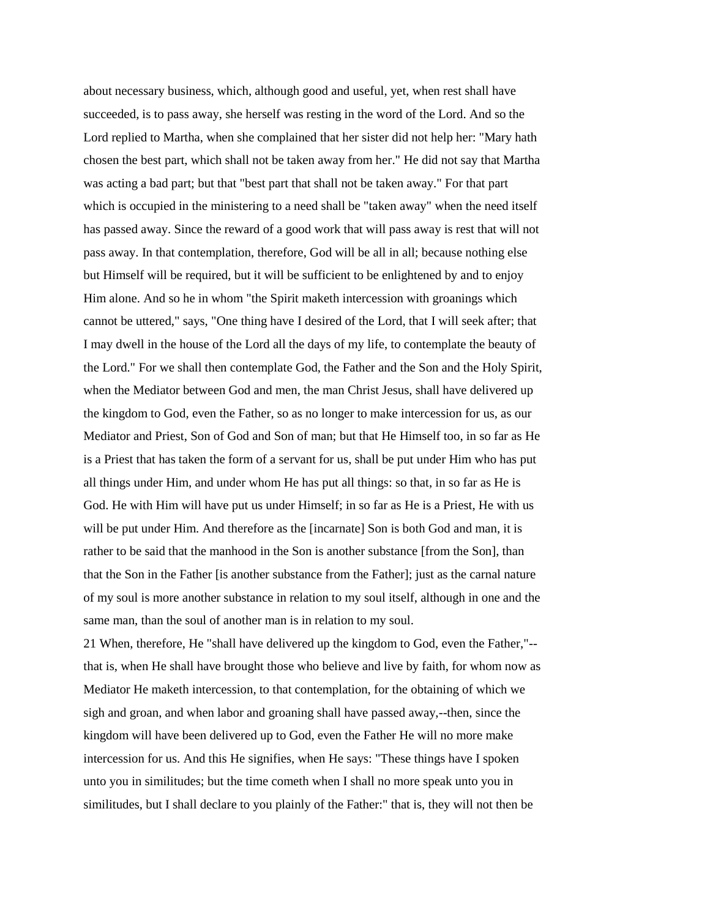about necessary business, which, although good and useful, yet, when rest shall have succeeded, is to pass away, she herself was resting in the word of the Lord. And so the Lord replied to Martha, when she complained that her sister did not help her: "Mary hath chosen the best part, which shall not be taken away from her." He did not say that Martha was acting a bad part; but that "best part that shall not be taken away." For that part which is occupied in the ministering to a need shall be "taken away" when the need itself has passed away. Since the reward of a good work that will pass away is rest that will not pass away. In that contemplation, therefore, God will be all in all; because nothing else but Himself will be required, but it will be sufficient to be enlightened by and to enjoy Him alone. And so he in whom "the Spirit maketh intercession with groanings which cannot be uttered," says, "One thing have I desired of the Lord, that I will seek after; that I may dwell in the house of the Lord all the days of my life, to contemplate the beauty of the Lord." For we shall then contemplate God, the Father and the Son and the Holy Spirit, when the Mediator between God and men, the man Christ Jesus, shall have delivered up the kingdom to God, even the Father, so as no longer to make intercession for us, as our Mediator and Priest, Son of God and Son of man; but that He Himself too, in so far as He is a Priest that has taken the form of a servant for us, shall be put under Him who has put all things under Him, and under whom He has put all things: so that, in so far as He is God. He with Him will have put us under Himself; in so far as He is a Priest, He with us will be put under Him. And therefore as the [incarnate] Son is both God and man, it is rather to be said that the manhood in the Son is another substance [from the Son], than that the Son in the Father [is another substance from the Father]; just as the carnal nature of my soul is more another substance in relation to my soul itself, although in one and the same man, than the soul of another man is in relation to my soul.

21 When, therefore, He "shall have delivered up the kingdom to God, even the Father,"- that is, when He shall have brought those who believe and live by faith, for whom now as Mediator He maketh intercession, to that contemplation, for the obtaining of which we sigh and groan, and when labor and groaning shall have passed away,--then, since the kingdom will have been delivered up to God, even the Father He will no more make intercession for us. And this He signifies, when He says: "These things have I spoken unto you in similitudes; but the time cometh when I shall no more speak unto you in similitudes, but I shall declare to you plainly of the Father:" that is, they will not then be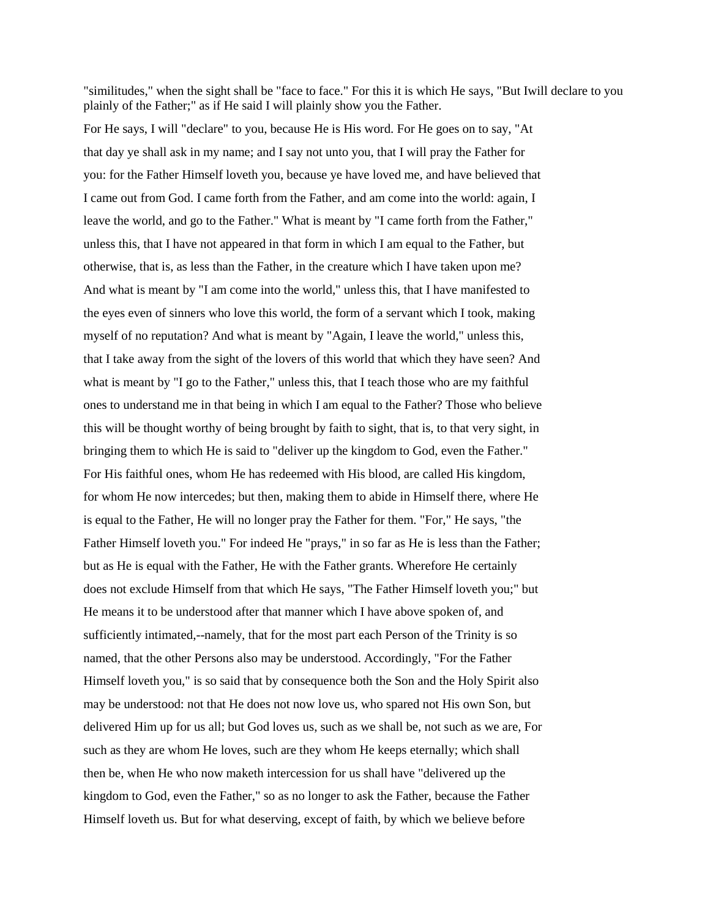"similitudes," when the sight shall be "face to face." For this it is which He says, "But Iwill declare to you plainly of the Father;" as if He said I will plainly show you the Father.

For He says, I will "declare" to you, because He is His word. For He goes on to say, "At that day ye shall ask in my name; and I say not unto you, that I will pray the Father for you: for the Father Himself loveth you, because ye have loved me, and have believed that I came out from God. I came forth from the Father, and am come into the world: again, I leave the world, and go to the Father." What is meant by "I came forth from the Father," unless this, that I have not appeared in that form in which I am equal to the Father, but otherwise, that is, as less than the Father, in the creature which I have taken upon me? And what is meant by "I am come into the world," unless this, that I have manifested to the eyes even of sinners who love this world, the form of a servant which I took, making myself of no reputation? And what is meant by "Again, I leave the world," unless this, that I take away from the sight of the lovers of this world that which they have seen? And what is meant by "I go to the Father," unless this, that I teach those who are my faithful ones to understand me in that being in which I am equal to the Father? Those who believe this will be thought worthy of being brought by faith to sight, that is, to that very sight, in bringing them to which He is said to "deliver up the kingdom to God, even the Father." For His faithful ones, whom He has redeemed with His blood, are called His kingdom, for whom He now intercedes; but then, making them to abide in Himself there, where He is equal to the Father, He will no longer pray the Father for them. "For," He says, "the Father Himself loveth you." For indeed He "prays," in so far as He is less than the Father; but as He is equal with the Father, He with the Father grants. Wherefore He certainly does not exclude Himself from that which He says, "The Father Himself loveth you;" but He means it to be understood after that manner which I have above spoken of, and sufficiently intimated,--namely, that for the most part each Person of the Trinity is so named, that the other Persons also may be understood. Accordingly, "For the Father Himself loveth you," is so said that by consequence both the Son and the Holy Spirit also may be understood: not that He does not now love us, who spared not His own Son, but delivered Him up for us all; but God loves us, such as we shall be, not such as we are, For such as they are whom He loves, such are they whom He keeps eternally; which shall then be, when He who now maketh intercession for us shall have "delivered up the kingdom to God, even the Father," so as no longer to ask the Father, because the Father Himself loveth us. But for what deserving, except of faith, by which we believe before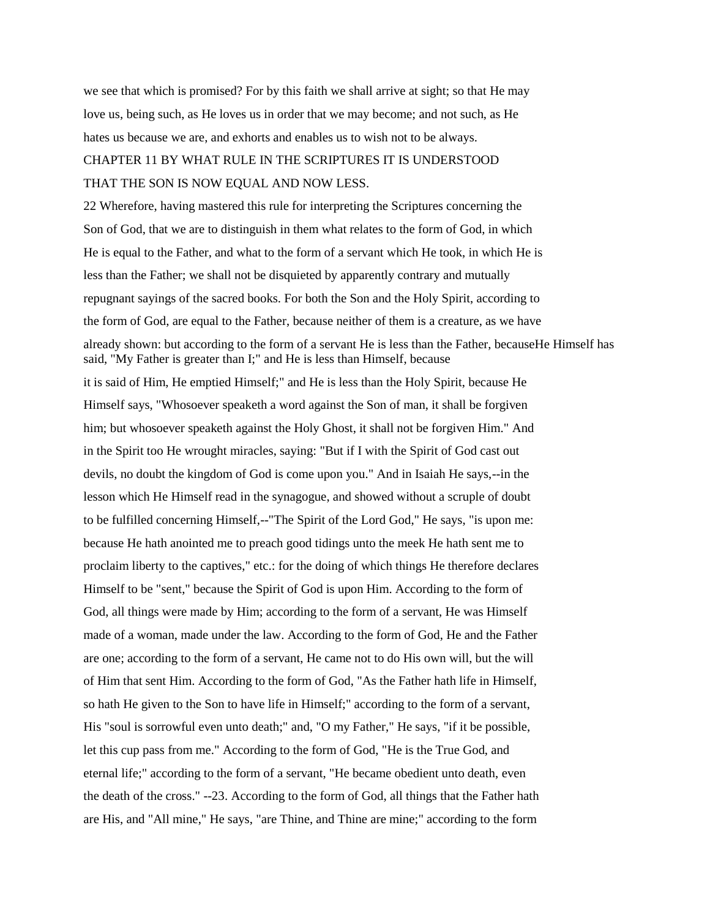we see that which is promised? For by this faith we shall arrive at sight; so that He may love us, being such, as He loves us in order that we may become; and not such, as He hates us because we are, and exhorts and enables us to wish not to be always.

# CHAPTER 11 BY WHAT RULE IN THE SCRIPTURES IT IS UNDERSTOOD

#### THAT THE SON IS NOW EQUAL AND NOW LESS.

22 Wherefore, having mastered this rule for interpreting the Scriptures concerning the Son of God, that we are to distinguish in them what relates to the form of God, in which He is equal to the Father, and what to the form of a servant which He took, in which He is less than the Father; we shall not be disquieted by apparently contrary and mutually repugnant sayings of the sacred books. For both the Son and the Holy Spirit, according to the form of God, are equal to the Father, because neither of them is a creature, as we have already shown: but according to the form of a servant He is less than the Father, becauseHe Himself has said, "My Father is greater than I;" and He is less than Himself, because it is said of Him, He emptied Himself;" and He is less than the Holy Spirit, because He Himself says, "Whosoever speaketh a word against the Son of man, it shall be forgiven him; but whosoever speaketh against the Holy Ghost, it shall not be forgiven Him." And in the Spirit too He wrought miracles, saying: "But if I with the Spirit of God cast out devils, no doubt the kingdom of God is come upon you." And in Isaiah He says,--in the lesson which He Himself read in the synagogue, and showed without a scruple of doubt to be fulfilled concerning Himself,--"The Spirit of the Lord God," He says, "is upon me: because He hath anointed me to preach good tidings unto the meek He hath sent me to proclaim liberty to the captives," etc.: for the doing of which things He therefore declares Himself to be "sent," because the Spirit of God is upon Him. According to the form of God, all things were made by Him; according to the form of a servant, He was Himself made of a woman, made under the law. According to the form of God, He and the Father are one; according to the form of a servant, He came not to do His own will, but the will of Him that sent Him. According to the form of God, "As the Father hath life in Himself, so hath He given to the Son to have life in Himself;" according to the form of a servant, His "soul is sorrowful even unto death;" and, "O my Father," He says, "if it be possible, let this cup pass from me." According to the form of God, "He is the True God, and eternal life;" according to the form of a servant, "He became obedient unto death, even the death of the cross." --23. According to the form of God, all things that the Father hath are His, and "All mine," He says, "are Thine, and Thine are mine;" according to the form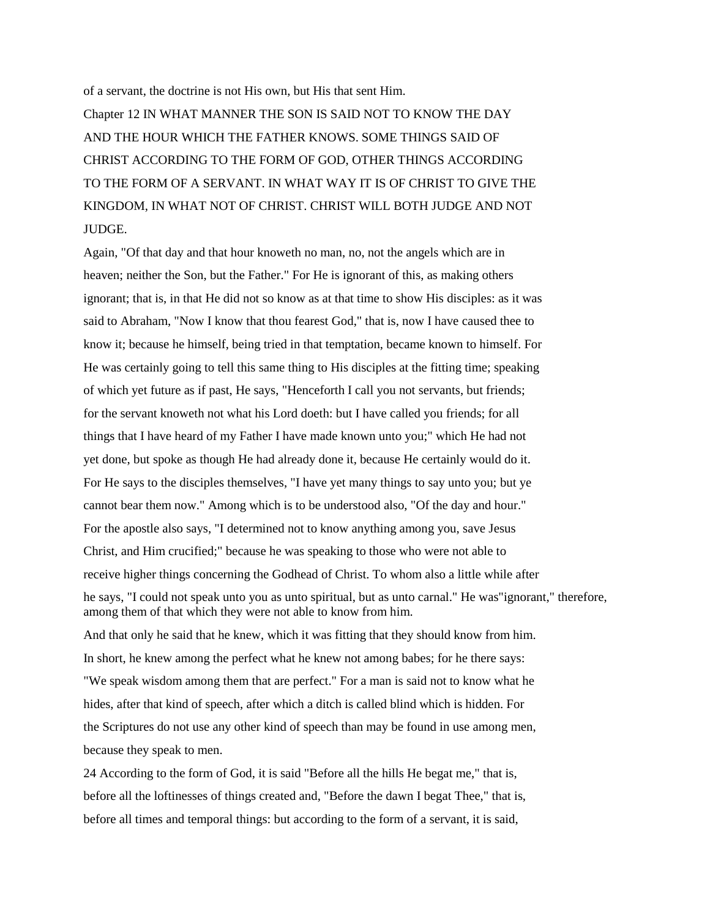of a servant, the doctrine is not His own, but His that sent Him.

Chapter 12 IN WHAT MANNER THE SON IS SAID NOT TO KNOW THE DAY AND THE HOUR WHICH THE FATHER KNOWS. SOME THINGS SAID OF CHRIST ACCORDING TO THE FORM OF GOD, OTHER THINGS ACCORDING TO THE FORM OF A SERVANT. IN WHAT WAY IT IS OF CHRIST TO GIVE THE KINGDOM, IN WHAT NOT OF CHRIST. CHRIST WILL BOTH JUDGE AND NOT JUDGE.

Again, "Of that day and that hour knoweth no man, no, not the angels which are in heaven; neither the Son, but the Father." For He is ignorant of this, as making others ignorant; that is, in that He did not so know as at that time to show His disciples: as it was said to Abraham, "Now I know that thou fearest God," that is, now I have caused thee to know it; because he himself, being tried in that temptation, became known to himself. For He was certainly going to tell this same thing to His disciples at the fitting time; speaking of which yet future as if past, He says, "Henceforth I call you not servants, but friends; for the servant knoweth not what his Lord doeth: but I have called you friends; for all things that I have heard of my Father I have made known unto you;" which He had not yet done, but spoke as though He had already done it, because He certainly would do it. For He says to the disciples themselves, "I have yet many things to say unto you; but ye cannot bear them now." Among which is to be understood also, "Of the day and hour." For the apostle also says, "I determined not to know anything among you, save Jesus Christ, and Him crucified;" because he was speaking to those who were not able to receive higher things concerning the Godhead of Christ. To whom also a little while after he says, "I could not speak unto you as unto spiritual, but as unto carnal." He was"ignorant," therefore, among them of that which they were not able to know from him. And that only he said that he knew, which it was fitting that they should know from him. In short, he knew among the perfect what he knew not among babes; for he there says: "We speak wisdom among them that are perfect." For a man is said not to know what he hides, after that kind of speech, after which a ditch is called blind which is hidden. For

the Scriptures do not use any other kind of speech than may be found in use among men, because they speak to men.

24 According to the form of God, it is said "Before all the hills He begat me," that is, before all the loftinesses of things created and, "Before the dawn I begat Thee," that is, before all times and temporal things: but according to the form of a servant, it is said,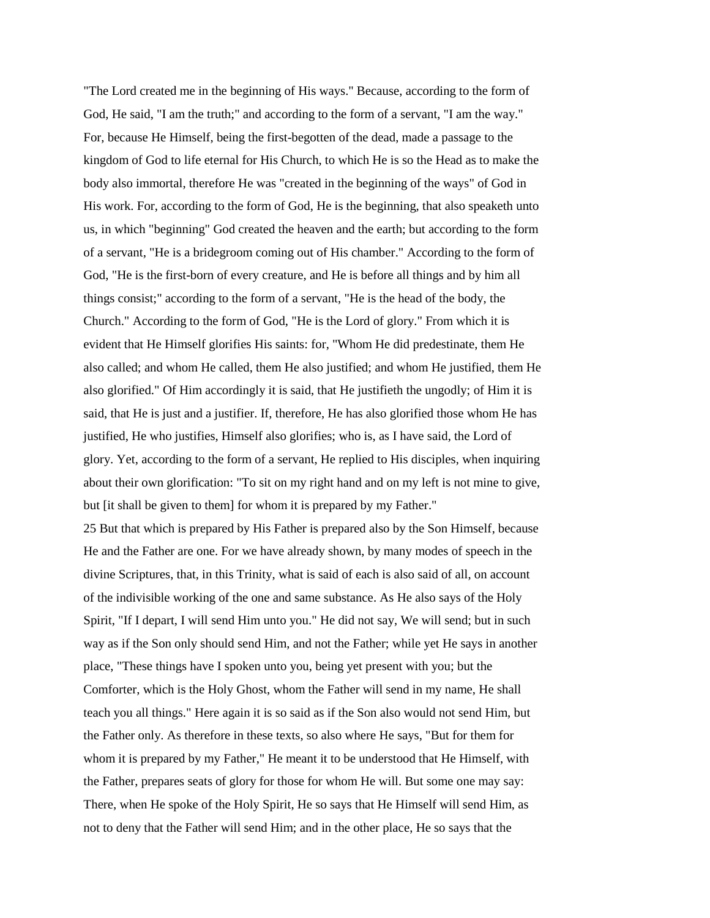"The Lord created me in the beginning of His ways." Because, according to the form of God, He said, "I am the truth;" and according to the form of a servant, "I am the way." For, because He Himself, being the first-begotten of the dead, made a passage to the kingdom of God to life eternal for His Church, to which He is so the Head as to make the body also immortal, therefore He was "created in the beginning of the ways" of God in His work. For, according to the form of God, He is the beginning, that also speaketh unto us, in which "beginning" God created the heaven and the earth; but according to the form of a servant, "He is a bridegroom coming out of His chamber." According to the form of God, "He is the first-born of every creature, and He is before all things and by him all things consist;" according to the form of a servant, "He is the head of the body, the Church." According to the form of God, "He is the Lord of glory." From which it is evident that He Himself glorifies His saints: for, "Whom He did predestinate, them He also called; and whom He called, them He also justified; and whom He justified, them He also glorified." Of Him accordingly it is said, that He justifieth the ungodly; of Him it is said, that He is just and a justifier. If, therefore, He has also glorified those whom He has justified, He who justifies, Himself also glorifies; who is, as I have said, the Lord of glory. Yet, according to the form of a servant, He replied to His disciples, when inquiring about their own glorification: "To sit on my right hand and on my left is not mine to give, but [it shall be given to them] for whom it is prepared by my Father."

25 But that which is prepared by His Father is prepared also by the Son Himself, because He and the Father are one. For we have already shown, by many modes of speech in the divine Scriptures, that, in this Trinity, what is said of each is also said of all, on account of the indivisible working of the one and same substance. As He also says of the Holy Spirit, "If I depart, I will send Him unto you." He did not say, We will send; but in such way as if the Son only should send Him, and not the Father; while yet He says in another place, "These things have I spoken unto you, being yet present with you; but the Comforter, which is the Holy Ghost, whom the Father will send in my name, He shall teach you all things." Here again it is so said as if the Son also would not send Him, but the Father only. As therefore in these texts, so also where He says, "But for them for whom it is prepared by my Father," He meant it to be understood that He Himself, with the Father, prepares seats of glory for those for whom He will. But some one may say: There, when He spoke of the Holy Spirit, He so says that He Himself will send Him, as not to deny that the Father will send Him; and in the other place, He so says that the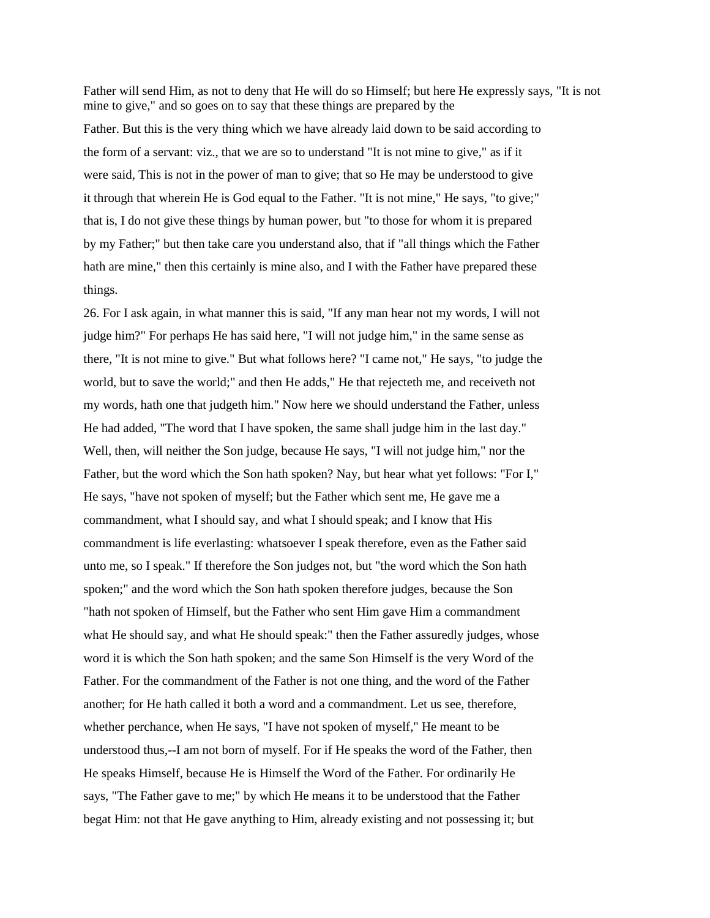Father will send Him, as not to deny that He will do so Himself; but here He expressly says, "It is not mine to give," and so goes on to say that these things are prepared by the

Father. But this is the very thing which we have already laid down to be said according to the form of a servant: viz., that we are so to understand "It is not mine to give," as if it were said, This is not in the power of man to give; that so He may be understood to give it through that wherein He is God equal to the Father. "It is not mine," He says, "to give;" that is, I do not give these things by human power, but "to those for whom it is prepared by my Father;" but then take care you understand also, that if "all things which the Father hath are mine," then this certainly is mine also, and I with the Father have prepared these things.

26. For I ask again, in what manner this is said, "If any man hear not my words, I will not judge him?" For perhaps He has said here, "I will not judge him," in the same sense as there, "It is not mine to give." But what follows here? "I came not," He says, "to judge the world, but to save the world;" and then He adds," He that rejecteth me, and receiveth not my words, hath one that judgeth him." Now here we should understand the Father, unless He had added, "The word that I have spoken, the same shall judge him in the last day." Well, then, will neither the Son judge, because He says, "I will not judge him," nor the Father, but the word which the Son hath spoken? Nay, but hear what yet follows: "For I," He says, "have not spoken of myself; but the Father which sent me, He gave me a commandment, what I should say, and what I should speak; and I know that His commandment is life everlasting: whatsoever I speak therefore, even as the Father said unto me, so I speak." If therefore the Son judges not, but "the word which the Son hath spoken;" and the word which the Son hath spoken therefore judges, because the Son "hath not spoken of Himself, but the Father who sent Him gave Him a commandment what He should say, and what He should speak:" then the Father assuredly judges, whose word it is which the Son hath spoken; and the same Son Himself is the very Word of the Father. For the commandment of the Father is not one thing, and the word of the Father another; for He hath called it both a word and a commandment. Let us see, therefore, whether perchance, when He says, "I have not spoken of myself," He meant to be understood thus,--I am not born of myself. For if He speaks the word of the Father, then He speaks Himself, because He is Himself the Word of the Father. For ordinarily He says, "The Father gave to me;" by which He means it to be understood that the Father begat Him: not that He gave anything to Him, already existing and not possessing it; but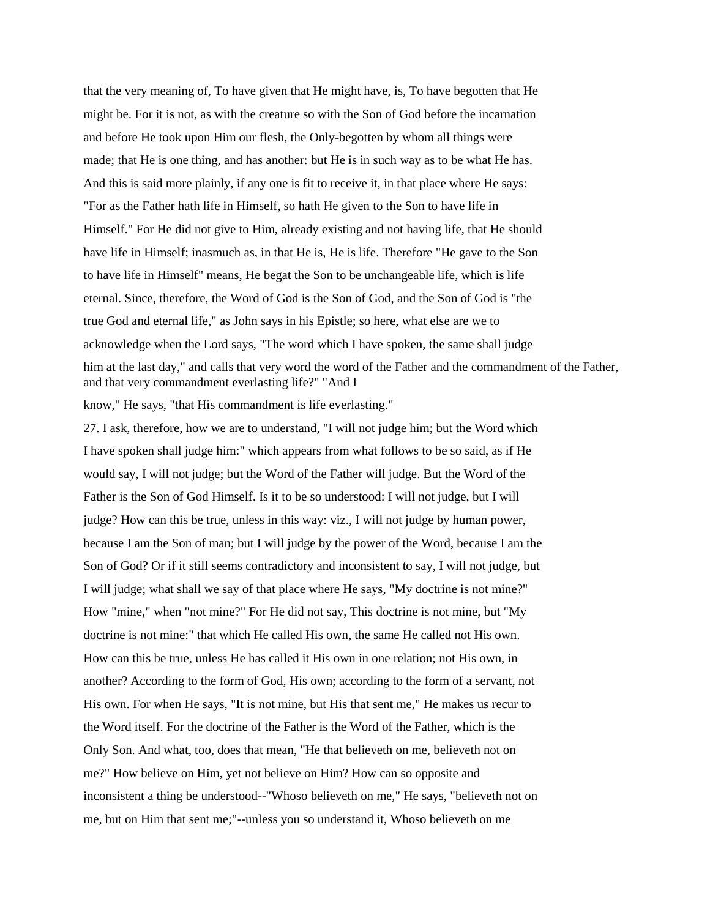that the very meaning of, To have given that He might have, is, To have begotten that He might be. For it is not, as with the creature so with the Son of God before the incarnation and before He took upon Him our flesh, the Only-begotten by whom all things were made; that He is one thing, and has another: but He is in such way as to be what He has. And this is said more plainly, if any one is fit to receive it, in that place where He says: "For as the Father hath life in Himself, so hath He given to the Son to have life in Himself." For He did not give to Him, already existing and not having life, that He should have life in Himself; inasmuch as, in that He is, He is life. Therefore "He gave to the Son to have life in Himself" means, He begat the Son to be unchangeable life, which is life eternal. Since, therefore, the Word of God is the Son of God, and the Son of God is "the true God and eternal life," as John says in his Epistle; so here, what else are we to acknowledge when the Lord says, "The word which I have spoken, the same shall judge him at the last day," and calls that very word the word of the Father and the commandment of the Father, and that very commandment everlasting life?" "And I

know," He says, "that His commandment is life everlasting."

27. I ask, therefore, how we are to understand, "I will not judge him; but the Word which I have spoken shall judge him:" which appears from what follows to be so said, as if He would say, I will not judge; but the Word of the Father will judge. But the Word of the Father is the Son of God Himself. Is it to be so understood: I will not judge, but I will judge? How can this be true, unless in this way: viz., I will not judge by human power, because I am the Son of man; but I will judge by the power of the Word, because I am the Son of God? Or if it still seems contradictory and inconsistent to say, I will not judge, but I will judge; what shall we say of that place where He says, "My doctrine is not mine?" How "mine," when "not mine?" For He did not say, This doctrine is not mine, but "My doctrine is not mine:" that which He called His own, the same He called not His own. How can this be true, unless He has called it His own in one relation; not His own, in another? According to the form of God, His own; according to the form of a servant, not His own. For when He says, "It is not mine, but His that sent me," He makes us recur to the Word itself. For the doctrine of the Father is the Word of the Father, which is the Only Son. And what, too, does that mean, "He that believeth on me, believeth not on me?" How believe on Him, yet not believe on Him? How can so opposite and inconsistent a thing be understood--"Whoso believeth on me," He says, "believeth not on me, but on Him that sent me;"--unless you so understand it, Whoso believeth on me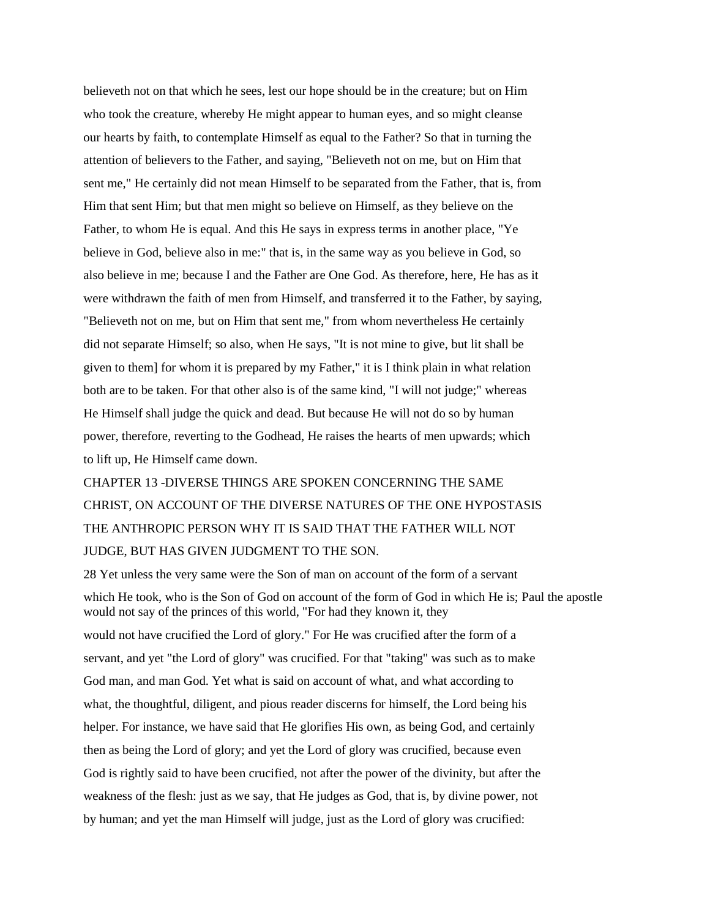believeth not on that which he sees, lest our hope should be in the creature; but on Him who took the creature, whereby He might appear to human eyes, and so might cleanse our hearts by faith, to contemplate Himself as equal to the Father? So that in turning the attention of believers to the Father, and saying, "Believeth not on me, but on Him that sent me," He certainly did not mean Himself to be separated from the Father, that is, from Him that sent Him; but that men might so believe on Himself, as they believe on the Father, to whom He is equal. And this He says in express terms in another place, "Ye believe in God, believe also in me:" that is, in the same way as you believe in God, so also believe in me; because I and the Father are One God. As therefore, here, He has as it were withdrawn the faith of men from Himself, and transferred it to the Father, by saying, "Believeth not on me, but on Him that sent me," from whom nevertheless He certainly did not separate Himself; so also, when He says, "It is not mine to give, but lit shall be given to them] for whom it is prepared by my Father," it is I think plain in what relation both are to be taken. For that other also is of the same kind, "I will not judge;" whereas He Himself shall judge the quick and dead. But because He will not do so by human power, therefore, reverting to the Godhead, He raises the hearts of men upwards; which to lift up, He Himself came down.

CHAPTER 13 -DIVERSE THINGS ARE SPOKEN CONCERNING THE SAME CHRIST, ON ACCOUNT OF THE DIVERSE NATURES OF THE ONE HYPOSTASIS THE ANTHROPIC PERSON WHY IT IS SAID THAT THE FATHER WILL NOT JUDGE, BUT HAS GIVEN JUDGMENT TO THE SON.

28 Yet unless the very same were the Son of man on account of the form of a servant which He took, who is the Son of God on account of the form of God in which He is; Paul the apostle would not say of the princes of this world, "For had they known it, they would not have crucified the Lord of glory." For He was crucified after the form of a servant, and yet "the Lord of glory" was crucified. For that "taking" was such as to make God man, and man God. Yet what is said on account of what, and what according to what, the thoughtful, diligent, and pious reader discerns for himself, the Lord being his helper. For instance, we have said that He glorifies His own, as being God, and certainly then as being the Lord of glory; and yet the Lord of glory was crucified, because even God is rightly said to have been crucified, not after the power of the divinity, but after the weakness of the flesh: just as we say, that He judges as God, that is, by divine power, not by human; and yet the man Himself will judge, just as the Lord of glory was crucified: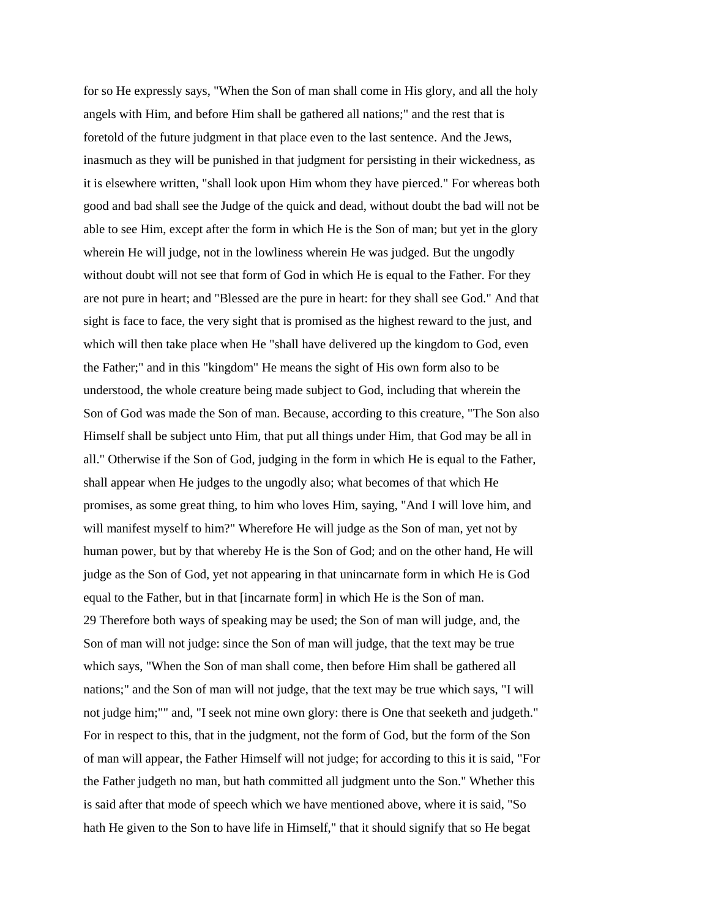for so He expressly says, "When the Son of man shall come in His glory, and all the holy angels with Him, and before Him shall be gathered all nations;" and the rest that is foretold of the future judgment in that place even to the last sentence. And the Jews, inasmuch as they will be punished in that judgment for persisting in their wickedness, as it is elsewhere written, "shall look upon Him whom they have pierced." For whereas both good and bad shall see the Judge of the quick and dead, without doubt the bad will not be able to see Him, except after the form in which He is the Son of man; but yet in the glory wherein He will judge, not in the lowliness wherein He was judged. But the ungodly without doubt will not see that form of God in which He is equal to the Father. For they are not pure in heart; and "Blessed are the pure in heart: for they shall see God." And that sight is face to face, the very sight that is promised as the highest reward to the just, and which will then take place when He "shall have delivered up the kingdom to God, even the Father;" and in this "kingdom" He means the sight of His own form also to be understood, the whole creature being made subject to God, including that wherein the Son of God was made the Son of man. Because, according to this creature, "The Son also Himself shall be subject unto Him, that put all things under Him, that God may be all in all." Otherwise if the Son of God, judging in the form in which He is equal to the Father, shall appear when He judges to the ungodly also; what becomes of that which He promises, as some great thing, to him who loves Him, saying, "And I will love him, and will manifest myself to him?" Wherefore He will judge as the Son of man, yet not by human power, but by that whereby He is the Son of God; and on the other hand, He will judge as the Son of God, yet not appearing in that unincarnate form in which He is God equal to the Father, but in that [incarnate form] in which He is the Son of man. 29 Therefore both ways of speaking may be used; the Son of man will judge, and, the Son of man will not judge: since the Son of man will judge, that the text may be true which says, "When the Son of man shall come, then before Him shall be gathered all nations;" and the Son of man will not judge, that the text may be true which says, "I will not judge him;"" and, "I seek not mine own glory: there is One that seeketh and judgeth." For in respect to this, that in the judgment, not the form of God, but the form of the Son of man will appear, the Father Himself will not judge; for according to this it is said, "For the Father judgeth no man, but hath committed all judgment unto the Son." Whether this is said after that mode of speech which we have mentioned above, where it is said, "So hath He given to the Son to have life in Himself," that it should signify that so He begat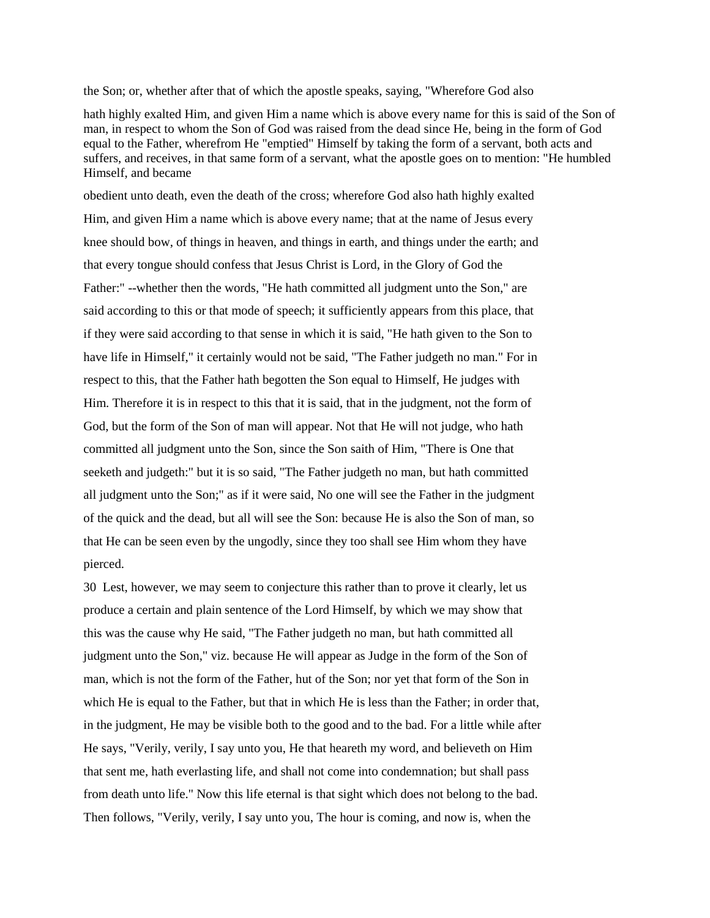the Son; or, whether after that of which the apostle speaks, saying, "Wherefore God also

hath highly exalted Him, and given Him a name which is above every name for this is said of the Son of man, in respect to whom the Son of God was raised from the dead since He, being in the form of God equal to the Father, wherefrom He "emptied" Himself by taking the form of a servant, both acts and suffers, and receives, in that same form of a servant, what the apostle goes on to mention: "He humbled Himself, and became

obedient unto death, even the death of the cross; wherefore God also hath highly exalted Him, and given Him a name which is above every name; that at the name of Jesus every knee should bow, of things in heaven, and things in earth, and things under the earth; and that every tongue should confess that Jesus Christ is Lord, in the Glory of God the Father:" --whether then the words, "He hath committed all judgment unto the Son," are said according to this or that mode of speech; it sufficiently appears from this place, that if they were said according to that sense in which it is said, "He hath given to the Son to have life in Himself," it certainly would not be said, "The Father judgeth no man." For in respect to this, that the Father hath begotten the Son equal to Himself, He judges with Him. Therefore it is in respect to this that it is said, that in the judgment, not the form of God, but the form of the Son of man will appear. Not that He will not judge, who hath committed all judgment unto the Son, since the Son saith of Him, "There is One that seeketh and judgeth:" but it is so said, "The Father judgeth no man, but hath committed all judgment unto the Son;" as if it were said, No one will see the Father in the judgment of the quick and the dead, but all will see the Son: because He is also the Son of man, so that He can be seen even by the ungodly, since they too shall see Him whom they have pierced.

30 Lest, however, we may seem to conjecture this rather than to prove it clearly, let us produce a certain and plain sentence of the Lord Himself, by which we may show that this was the cause why He said, "The Father judgeth no man, but hath committed all judgment unto the Son," viz. because He will appear as Judge in the form of the Son of man, which is not the form of the Father, hut of the Son; nor yet that form of the Son in which He is equal to the Father, but that in which He is less than the Father; in order that, in the judgment, He may be visible both to the good and to the bad. For a little while after He says, "Verily, verily, I say unto you, He that heareth my word, and believeth on Him that sent me, hath everlasting life, and shall not come into condemnation; but shall pass from death unto life." Now this life eternal is that sight which does not belong to the bad. Then follows, "Verily, verily, I say unto you, The hour is coming, and now is, when the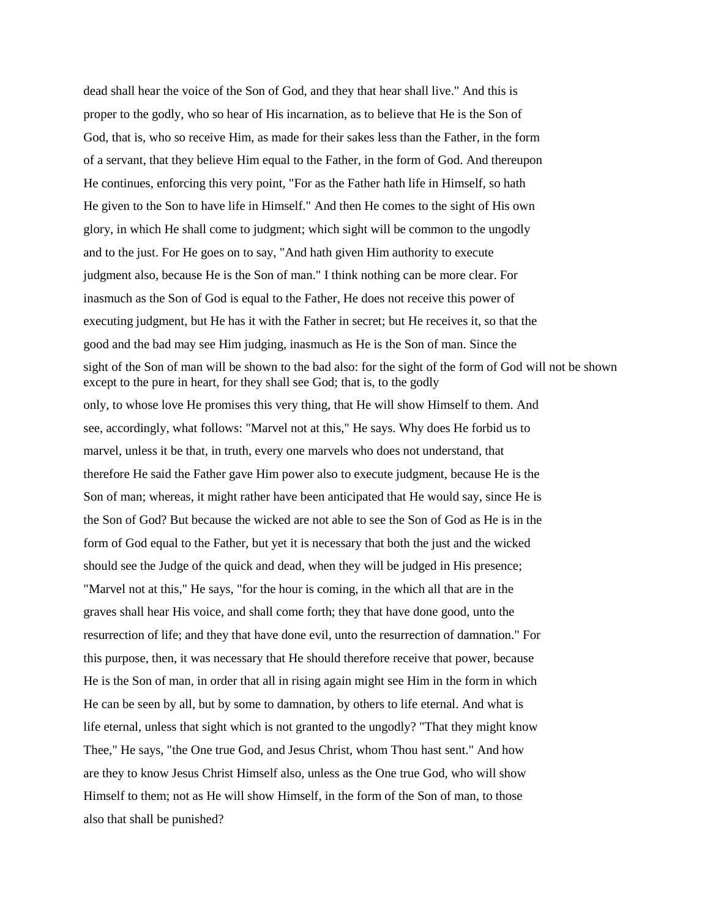dead shall hear the voice of the Son of God, and they that hear shall live." And this is proper to the godly, who so hear of His incarnation, as to believe that He is the Son of God, that is, who so receive Him, as made for their sakes less than the Father, in the form of a servant, that they believe Him equal to the Father, in the form of God. And thereupon He continues, enforcing this very point, "For as the Father hath life in Himself, so hath He given to the Son to have life in Himself." And then He comes to the sight of His own glory, in which He shall come to judgment; which sight will be common to the ungodly and to the just. For He goes on to say, "And hath given Him authority to execute judgment also, because He is the Son of man." I think nothing can be more clear. For inasmuch as the Son of God is equal to the Father, He does not receive this power of executing judgment, but He has it with the Father in secret; but He receives it, so that the good and the bad may see Him judging, inasmuch as He is the Son of man. Since the sight of the Son of man will be shown to the bad also: for the sight of the form of God will not be shown except to the pure in heart, for they shall see God; that is, to the godly

only, to whose love He promises this very thing, that He will show Himself to them. And see, accordingly, what follows: "Marvel not at this," He says. Why does He forbid us to marvel, unless it be that, in truth, every one marvels who does not understand, that therefore He said the Father gave Him power also to execute judgment, because He is the Son of man; whereas, it might rather have been anticipated that He would say, since He is the Son of God? But because the wicked are not able to see the Son of God as He is in the form of God equal to the Father, but yet it is necessary that both the just and the wicked should see the Judge of the quick and dead, when they will be judged in His presence; "Marvel not at this," He says, "for the hour is coming, in the which all that are in the graves shall hear His voice, and shall come forth; they that have done good, unto the resurrection of life; and they that have done evil, unto the resurrection of damnation." For this purpose, then, it was necessary that He should therefore receive that power, because He is the Son of man, in order that all in rising again might see Him in the form in which He can be seen by all, but by some to damnation, by others to life eternal. And what is life eternal, unless that sight which is not granted to the ungodly? "That they might know Thee," He says, "the One true God, and Jesus Christ, whom Thou hast sent." And how are they to know Jesus Christ Himself also, unless as the One true God, who will show Himself to them; not as He will show Himself, in the form of the Son of man, to those also that shall be punished?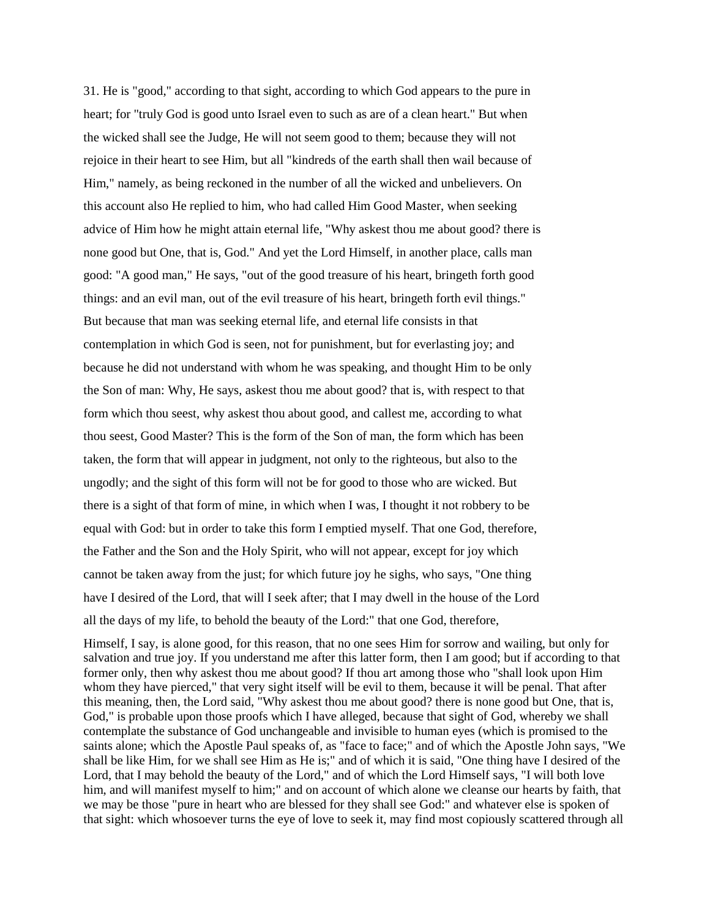31. He is "good," according to that sight, according to which God appears to the pure in heart; for "truly God is good unto Israel even to such as are of a clean heart." But when the wicked shall see the Judge, He will not seem good to them; because they will not rejoice in their heart to see Him, but all "kindreds of the earth shall then wail because of Him," namely, as being reckoned in the number of all the wicked and unbelievers. On this account also He replied to him, who had called Him Good Master, when seeking advice of Him how he might attain eternal life, "Why askest thou me about good? there is none good but One, that is, God." And yet the Lord Himself, in another place, calls man good: "A good man," He says, "out of the good treasure of his heart, bringeth forth good things: and an evil man, out of the evil treasure of his heart, bringeth forth evil things." But because that man was seeking eternal life, and eternal life consists in that contemplation in which God is seen, not for punishment, but for everlasting joy; and because he did not understand with whom he was speaking, and thought Him to be only the Son of man: Why, He says, askest thou me about good? that is, with respect to that form which thou seest, why askest thou about good, and callest me, according to what thou seest, Good Master? This is the form of the Son of man, the form which has been taken, the form that will appear in judgment, not only to the righteous, but also to the ungodly; and the sight of this form will not be for good to those who are wicked. But there is a sight of that form of mine, in which when I was, I thought it not robbery to be equal with God: but in order to take this form I emptied myself. That one God, therefore, the Father and the Son and the Holy Spirit, who will not appear, except for joy which cannot be taken away from the just; for which future joy he sighs, who says, "One thing have I desired of the Lord, that will I seek after; that I may dwell in the house of the Lord all the days of my life, to behold the beauty of the Lord:" that one God, therefore,

Himself, I say, is alone good, for this reason, that no one sees Him for sorrow and wailing, but only for salvation and true joy. If you understand me after this latter form, then I am good; but if according to that former only, then why askest thou me about good? If thou art among those who "shall look upon Him whom they have pierced," that very sight itself will be evil to them, because it will be penal. That after this meaning, then, the Lord said, "Why askest thou me about good? there is none good but One, that is, God," is probable upon those proofs which I have alleged, because that sight of God, whereby we shall contemplate the substance of God unchangeable and invisible to human eyes (which is promised to the saints alone; which the Apostle Paul speaks of, as "face to face;" and of which the Apostle John says, "We shall be like Him, for we shall see Him as He is;" and of which it is said, "One thing have I desired of the Lord, that I may behold the beauty of the Lord," and of which the Lord Himself says, "I will both love him, and will manifest myself to him;" and on account of which alone we cleanse our hearts by faith, that we may be those "pure in heart who are blessed for they shall see God:" and whatever else is spoken of that sight: which whosoever turns the eye of love to seek it, may find most copiously scattered through all